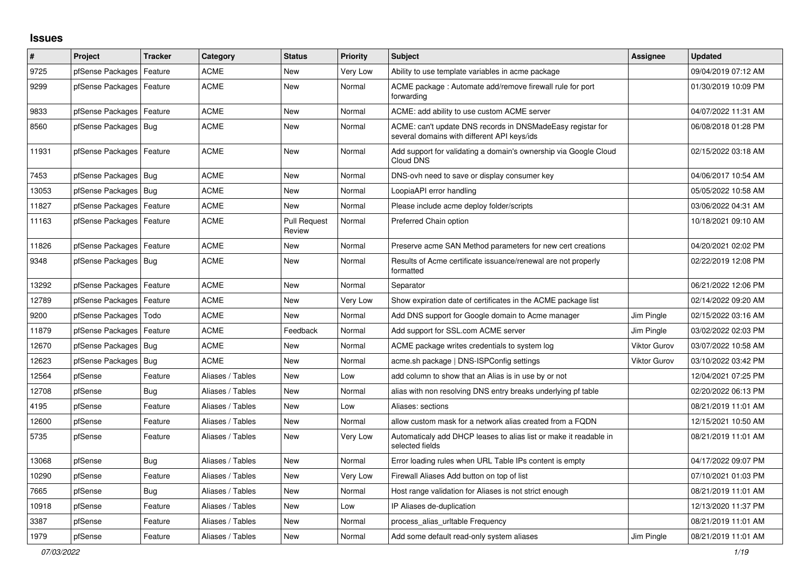## **Issues**

| #     | Project                | <b>Tracker</b> | Category         | <b>Status</b>                 | <b>Priority</b> | <b>Subject</b>                                                                                            | Assignee            | <b>Updated</b>      |
|-------|------------------------|----------------|------------------|-------------------------------|-----------------|-----------------------------------------------------------------------------------------------------------|---------------------|---------------------|
| 9725  | pfSense Packages       | Feature        | ACME             | <b>New</b>                    | Very Low        | Ability to use template variables in acme package                                                         |                     | 09/04/2019 07:12 AM |
| 9299  | pfSense Packages       | Feature        | <b>ACME</b>      | <b>New</b>                    | Normal          | ACME package: Automate add/remove firewall rule for port<br>forwarding                                    |                     | 01/30/2019 10:09 PM |
| 9833  | pfSense Packages       | Feature        | <b>ACME</b>      | New                           | Normal          | ACME: add ability to use custom ACME server                                                               |                     | 04/07/2022 11:31 AM |
| 8560  | pfSense Packages       | Bug            | <b>ACME</b>      | New                           | Normal          | ACME: can't update DNS records in DNSMadeEasy registar for<br>several domains with different API keys/ids |                     | 06/08/2018 01:28 PM |
| 11931 | pfSense Packages       | Feature        | <b>ACME</b>      | New                           | Normal          | Add support for validating a domain's ownership via Google Cloud<br>Cloud DNS                             |                     | 02/15/2022 03:18 AM |
| 7453  | pfSense Packages   Bug |                | ACME             | New                           | Normal          | DNS-ovh need to save or display consumer key                                                              |                     | 04/06/2017 10:54 AM |
| 13053 | pfSense Packages       | Bug            | ACME             | New                           | Normal          | LoopiaAPI error handling                                                                                  |                     | 05/05/2022 10:58 AM |
| 11827 | pfSense Packages       | Feature        | ACME             | New                           | Normal          | Please include acme deploy folder/scripts                                                                 |                     | 03/06/2022 04:31 AM |
| 11163 | pfSense Packages       | Feature        | <b>ACME</b>      | <b>Pull Request</b><br>Review | Normal          | Preferred Chain option                                                                                    |                     | 10/18/2021 09:10 AM |
| 11826 | pfSense Packages       | Feature        | <b>ACME</b>      | New                           | Normal          | Preserve acme SAN Method parameters for new cert creations                                                |                     | 04/20/2021 02:02 PM |
| 9348  | pfSense Packages   Bug |                | <b>ACME</b>      | <b>New</b>                    | Normal          | Results of Acme certificate issuance/renewal are not properly<br>formatted                                |                     | 02/22/2019 12:08 PM |
| 13292 | pfSense Packages       | Feature        | <b>ACME</b>      | <b>New</b>                    | Normal          | Separator                                                                                                 |                     | 06/21/2022 12:06 PM |
| 12789 | pfSense Packages       | Feature        | <b>ACME</b>      | <b>New</b>                    | Very Low        | Show expiration date of certificates in the ACME package list                                             |                     | 02/14/2022 09:20 AM |
| 9200  | pfSense Packages       | Todo           | <b>ACME</b>      | <b>New</b>                    | Normal          | Add DNS support for Google domain to Acme manager                                                         | Jim Pingle          | 02/15/2022 03:16 AM |
| 11879 | pfSense Packages       | Feature        | ACME             | Feedback                      | Normal          | Add support for SSL.com ACME server                                                                       | Jim Pingle          | 03/02/2022 02:03 PM |
| 12670 | pfSense Packages   Bug |                | <b>ACME</b>      | New                           | Normal          | ACME package writes credentials to system log                                                             | <b>Viktor Gurov</b> | 03/07/2022 10:58 AM |
| 12623 | pfSense Packages       | Bug            | ACME             | <b>New</b>                    | Normal          | acme.sh package   DNS-ISPConfig settings                                                                  | <b>Viktor Gurov</b> | 03/10/2022 03:42 PM |
| 12564 | pfSense                | Feature        | Aliases / Tables | <b>New</b>                    | Low             | add column to show that an Alias is in use by or not                                                      |                     | 12/04/2021 07:25 PM |
| 12708 | pfSense                | Bug            | Aliases / Tables | New                           | Normal          | alias with non resolving DNS entry breaks underlying pf table                                             |                     | 02/20/2022 06:13 PM |
| 4195  | pfSense                | Feature        | Aliases / Tables | New                           | Low             | Aliases: sections                                                                                         |                     | 08/21/2019 11:01 AM |
| 12600 | pfSense                | Feature        | Aliases / Tables | New                           | Normal          | allow custom mask for a network alias created from a FQDN                                                 |                     | 12/15/2021 10:50 AM |
| 5735  | pfSense                | Feature        | Aliases / Tables | <b>New</b>                    | Very Low        | Automaticaly add DHCP leases to alias list or make it readable in<br>selected fields                      |                     | 08/21/2019 11:01 AM |
| 13068 | pfSense                | Bug            | Aliases / Tables | New                           | Normal          | Error loading rules when URL Table IPs content is empty                                                   |                     | 04/17/2022 09:07 PM |
| 10290 | pfSense                | Feature        | Aliases / Tables | New                           | Very Low        | Firewall Aliases Add button on top of list                                                                |                     | 07/10/2021 01:03 PM |
| 7665  | pfSense                | Bug            | Aliases / Tables | <b>New</b>                    | Normal          | Host range validation for Aliases is not strict enough                                                    |                     | 08/21/2019 11:01 AM |
| 10918 | pfSense                | Feature        | Aliases / Tables | <b>New</b>                    | Low             | IP Aliases de-duplication                                                                                 |                     | 12/13/2020 11:37 PM |
| 3387  | pfSense                | Feature        | Aliases / Tables | New                           | Normal          | process_alias_urltable Frequency                                                                          |                     | 08/21/2019 11:01 AM |
| 1979  | pfSense                | Feature        | Aliases / Tables | <b>New</b>                    | Normal          | Add some default read-only system aliases                                                                 | Jim Pingle          | 08/21/2019 11:01 AM |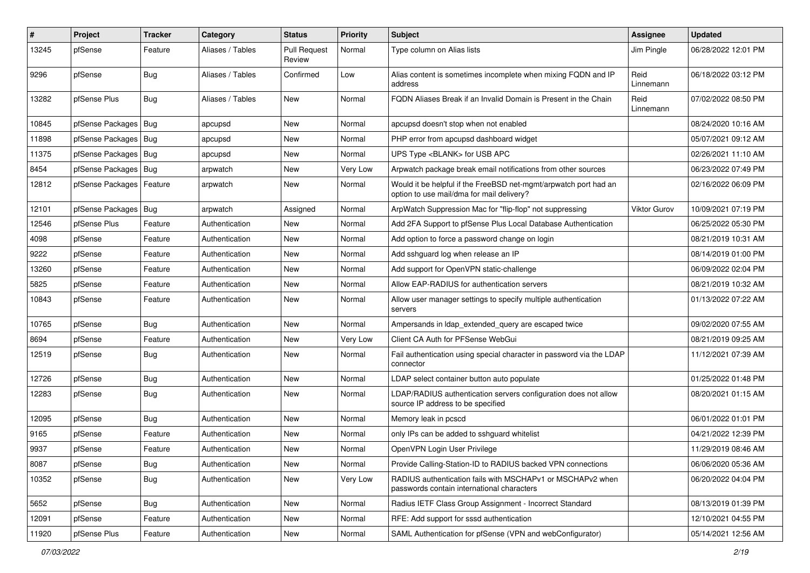| #     | Project                    | Tracker    | Category         | <b>Status</b>                 | <b>Priority</b> | <b>Subject</b>                                                                                                | <b>Assignee</b>   | <b>Updated</b>      |
|-------|----------------------------|------------|------------------|-------------------------------|-----------------|---------------------------------------------------------------------------------------------------------------|-------------------|---------------------|
| 13245 | pfSense                    | Feature    | Aliases / Tables | <b>Pull Request</b><br>Review | Normal          | Type column on Alias lists                                                                                    | Jim Pingle        | 06/28/2022 12:01 PM |
| 9296  | pfSense                    | <b>Bug</b> | Aliases / Tables | Confirmed                     | Low             | Alias content is sometimes incomplete when mixing FQDN and IP<br>address                                      | Reid<br>Linnemann | 06/18/2022 03:12 PM |
| 13282 | pfSense Plus               | <b>Bug</b> | Aliases / Tables | <b>New</b>                    | Normal          | FQDN Aliases Break if an Invalid Domain is Present in the Chain                                               | Reid<br>Linnemann | 07/02/2022 08:50 PM |
| 10845 | pfSense Packages   Bug     |            | apcupsd          | New                           | Normal          | apcupsd doesn't stop when not enabled                                                                         |                   | 08/24/2020 10:16 AM |
| 11898 | pfSense Packages   Bug     |            | apcupsd          | New                           | Normal          | PHP error from apcupsd dashboard widget                                                                       |                   | 05/07/2021 09:12 AM |
| 11375 | pfSense Packages   Bug     |            | apcupsd          | New                           | Normal          | UPS Type <blank> for USB APC</blank>                                                                          |                   | 02/26/2021 11:10 AM |
| 8454  | pfSense Packages   Bug     |            | arpwatch         | New                           | Very Low        | Arpwatch package break email notifications from other sources                                                 |                   | 06/23/2022 07:49 PM |
| 12812 | pfSense Packages   Feature |            | arpwatch         | New                           | Normal          | Would it be helpful if the FreeBSD net-mgmt/arpwatch port had an<br>option to use mail/dma for mail delivery? |                   | 02/16/2022 06:09 PM |
| 12101 | pfSense Packages   Bug     |            | arpwatch         | Assigned                      | Normal          | ArpWatch Suppression Mac for "flip-flop" not suppressing                                                      | Viktor Gurov      | 10/09/2021 07:19 PM |
| 12546 | pfSense Plus               | Feature    | Authentication   | New                           | Normal          | Add 2FA Support to pfSense Plus Local Database Authentication                                                 |                   | 06/25/2022 05:30 PM |
| 4098  | pfSense                    | Feature    | Authentication   | <b>New</b>                    | Normal          | Add option to force a password change on login                                                                |                   | 08/21/2019 10:31 AM |
| 9222  | pfSense                    | Feature    | Authentication   | New                           | Normal          | Add sshguard log when release an IP                                                                           |                   | 08/14/2019 01:00 PM |
| 13260 | pfSense                    | Feature    | Authentication   | <b>New</b>                    | Normal          | Add support for OpenVPN static-challenge                                                                      |                   | 06/09/2022 02:04 PM |
| 5825  | pfSense                    | Feature    | Authentication   | <b>New</b>                    | Normal          | Allow EAP-RADIUS for authentication servers                                                                   |                   | 08/21/2019 10:32 AM |
| 10843 | pfSense                    | Feature    | Authentication   | New                           | Normal          | Allow user manager settings to specify multiple authentication<br>servers                                     |                   | 01/13/2022 07:22 AM |
| 10765 | pfSense                    | <b>Bug</b> | Authentication   | New                           | Normal          | Ampersands in Idap_extended_query are escaped twice                                                           |                   | 09/02/2020 07:55 AM |
| 8694  | pfSense                    | Feature    | Authentication   | New                           | Very Low        | Client CA Auth for PFSense WebGui                                                                             |                   | 08/21/2019 09:25 AM |
| 12519 | pfSense                    | <b>Bug</b> | Authentication   | New                           | Normal          | Fail authentication using special character in password via the LDAP<br>connector                             |                   | 11/12/2021 07:39 AM |
| 12726 | pfSense                    | <b>Bug</b> | Authentication   | <b>New</b>                    | Normal          | LDAP select container button auto populate                                                                    |                   | 01/25/2022 01:48 PM |
| 12283 | pfSense                    | <b>Bug</b> | Authentication   | New                           | Normal          | LDAP/RADIUS authentication servers configuration does not allow<br>source IP address to be specified          |                   | 08/20/2021 01:15 AM |
| 12095 | pfSense                    | <b>Bug</b> | Authentication   | New                           | Normal          | Memory leak in pcscd                                                                                          |                   | 06/01/2022 01:01 PM |
| 9165  | pfSense                    | Feature    | Authentication   | New                           | Normal          | only IPs can be added to sshguard whitelist                                                                   |                   | 04/21/2022 12:39 PM |
| 9937  | pfSense                    | Feature    | Authentication   | New                           | Normal          | OpenVPN Login User Privilege                                                                                  |                   | 11/29/2019 08:46 AM |
| 8087  | pfSense                    | <b>Bug</b> | Authentication   | New                           | Normal          | Provide Calling-Station-ID to RADIUS backed VPN connections                                                   |                   | 06/06/2020 05:36 AM |
| 10352 | pfSense                    | <b>Bug</b> | Authentication   | New                           | Very Low        | RADIUS authentication fails with MSCHAPv1 or MSCHAPv2 when<br>passwords contain international characters      |                   | 06/20/2022 04:04 PM |
| 5652  | pfSense                    | <b>Bug</b> | Authentication   | New                           | Normal          | Radius IETF Class Group Assignment - Incorrect Standard                                                       |                   | 08/13/2019 01:39 PM |
| 12091 | pfSense                    | Feature    | Authentication   | New                           | Normal          | RFE: Add support for sssd authentication                                                                      |                   | 12/10/2021 04:55 PM |
| 11920 | pfSense Plus               | Feature    | Authentication   | New                           | Normal          | SAML Authentication for pfSense (VPN and webConfigurator)                                                     |                   | 05/14/2021 12:56 AM |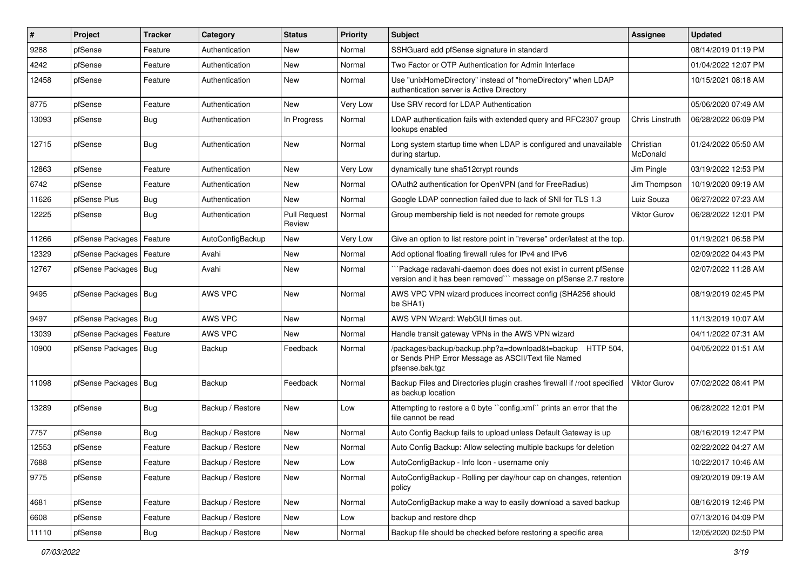| ∦     | Project                | <b>Tracker</b> | Category         | <b>Status</b>                 | <b>Priority</b> | <b>Subject</b>                                                                                                                      | <b>Assignee</b>       | <b>Updated</b>      |
|-------|------------------------|----------------|------------------|-------------------------------|-----------------|-------------------------------------------------------------------------------------------------------------------------------------|-----------------------|---------------------|
| 9288  | pfSense                | Feature        | Authentication   | New                           | Normal          | SSHGuard add pfSense signature in standard                                                                                          |                       | 08/14/2019 01:19 PM |
| 4242  | pfSense                | Feature        | Authentication   | <b>New</b>                    | Normal          | Two Factor or OTP Authentication for Admin Interface                                                                                |                       | 01/04/2022 12:07 PM |
| 12458 | pfSense                | Feature        | Authentication   | New                           | Normal          | Use "unixHomeDirectory" instead of "homeDirectory" when LDAP<br>authentication server is Active Directory                           |                       | 10/15/2021 08:18 AM |
| 8775  | pfSense                | Feature        | Authentication   | New                           | Very Low        | Use SRV record for LDAP Authentication                                                                                              |                       | 05/06/2020 07:49 AM |
| 13093 | pfSense                | <b>Bug</b>     | Authentication   | In Progress                   | Normal          | LDAP authentication fails with extended query and RFC2307 group<br>lookups enabled                                                  | Chris Linstruth       | 06/28/2022 06:09 PM |
| 12715 | pfSense                | Bug            | Authentication   | <b>New</b>                    | Normal          | Long system startup time when LDAP is configured and unavailable<br>during startup.                                                 | Christian<br>McDonald | 01/24/2022 05:50 AM |
| 12863 | pfSense                | Feature        | Authentication   | New                           | Very Low        | dynamically tune sha512crypt rounds                                                                                                 | Jim Pingle            | 03/19/2022 12:53 PM |
| 6742  | pfSense                | Feature        | Authentication   | New                           | Normal          | OAuth2 authentication for OpenVPN (and for FreeRadius)                                                                              | Jim Thompson          | 10/19/2020 09:19 AM |
| 11626 | pfSense Plus           | <b>Bug</b>     | Authentication   | <b>New</b>                    | Normal          | Google LDAP connection failed due to lack of SNI for TLS 1.3                                                                        | Luiz Souza            | 06/27/2022 07:23 AM |
| 12225 | pfSense                | <b>Bug</b>     | Authentication   | <b>Pull Request</b><br>Review | Normal          | Group membership field is not needed for remote groups                                                                              | <b>Viktor Gurov</b>   | 06/28/2022 12:01 PM |
| 11266 | pfSense Packages       | Feature        | AutoConfigBackup | New                           | Very Low        | Give an option to list restore point in "reverse" order/latest at the top.                                                          |                       | 01/19/2021 06:58 PM |
| 12329 | pfSense Packages       | Feature        | Avahi            | <b>New</b>                    | Normal          | Add optional floating firewall rules for IPv4 and IPv6                                                                              |                       | 02/09/2022 04:43 PM |
| 12767 | pfSense Packages       | Bug            | Avahi            | New                           | Normal          | `Package radavahi-daemon does does not exist in current pfSense<br>version and it has been removed"" message on pfSense 2.7 restore |                       | 02/07/2022 11:28 AM |
| 9495  | pfSense Packages       | Bug            | AWS VPC          | New                           | Normal          | AWS VPC VPN wizard produces incorrect config (SHA256 should<br>be SHA1)                                                             |                       | 08/19/2019 02:45 PM |
| 9497  | pfSense Packages       | Bug            | AWS VPC          | <b>New</b>                    | Normal          | AWS VPN Wizard: WebGUI times out.                                                                                                   |                       | 11/13/2019 10:07 AM |
| 13039 | pfSense Packages       | Feature        | AWS VPC          | New                           | Normal          | Handle transit gateway VPNs in the AWS VPN wizard                                                                                   |                       | 04/11/2022 07:31 AM |
| 10900 | pfSense Packages   Bug |                | Backup           | Feedback                      | Normal          | /packages/backup/backup.php?a=download&t=backup HTTP 504,<br>or Sends PHP Error Message as ASCII/Text file Named<br>pfsense.bak.tgz |                       | 04/05/2022 01:51 AM |
| 11098 | pfSense Packages   Bug |                | Backup           | Feedback                      | Normal          | Backup Files and Directories plugin crashes firewall if /root specified<br>as backup location                                       | <b>Viktor Gurov</b>   | 07/02/2022 08:41 PM |
| 13289 | pfSense                | <b>Bug</b>     | Backup / Restore | New                           | Low             | Attempting to restore a 0 byte "config.xml" prints an error that the<br>file cannot be read                                         |                       | 06/28/2022 12:01 PM |
| 7757  | pfSense                | Bug            | Backup / Restore | New                           | Normal          | Auto Config Backup fails to upload unless Default Gateway is up                                                                     |                       | 08/16/2019 12:47 PM |
| 12553 | pfSense                | Feature        | Backup / Restore | <b>New</b>                    | Normal          | Auto Config Backup: Allow selecting multiple backups for deletion                                                                   |                       | 02/22/2022 04:27 AM |
| 7688  | pfSense                | Feature        | Backup / Restore | New                           | Low             | AutoConfigBackup - Info Icon - username only                                                                                        |                       | 10/22/2017 10:46 AM |
| 9775  | pfSense                | Feature        | Backup / Restore | New                           | Normal          | AutoConfigBackup - Rolling per day/hour cap on changes, retention<br>policy                                                         |                       | 09/20/2019 09:19 AM |
| 4681  | pfSense                | Feature        | Backup / Restore | New                           | Normal          | AutoConfigBackup make a way to easily download a saved backup                                                                       |                       | 08/16/2019 12:46 PM |
| 6608  | pfSense                | Feature        | Backup / Restore | New                           | Low             | backup and restore dhcp                                                                                                             |                       | 07/13/2016 04:09 PM |
| 11110 | pfSense                | <b>Bug</b>     | Backup / Restore | New                           | Normal          | Backup file should be checked before restoring a specific area                                                                      |                       | 12/05/2020 02:50 PM |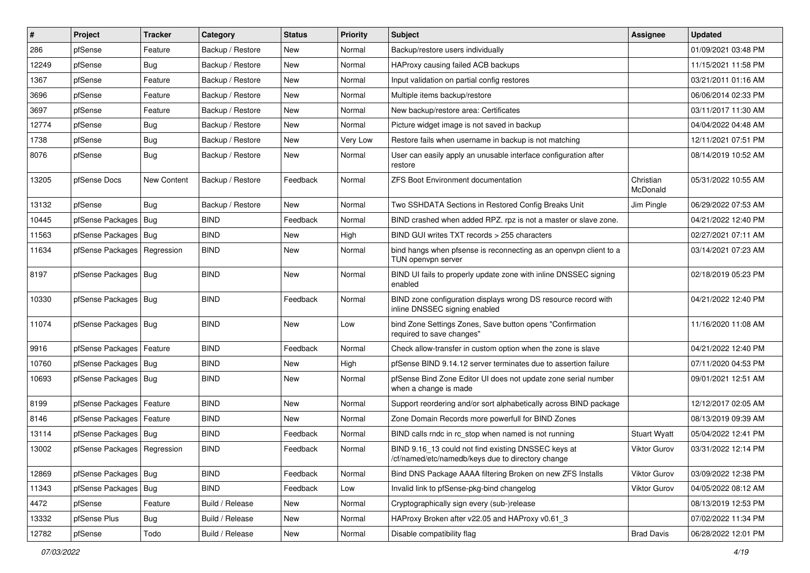| $\vert$ # | Project                       | <b>Tracker</b>     | Category         | <b>Status</b> | <b>Priority</b> | Subject                                                                                                 | <b>Assignee</b>       | <b>Updated</b>      |
|-----------|-------------------------------|--------------------|------------------|---------------|-----------------|---------------------------------------------------------------------------------------------------------|-----------------------|---------------------|
| 286       | pfSense                       | Feature            | Backup / Restore | New           | Normal          | Backup/restore users individually                                                                       |                       | 01/09/2021 03:48 PM |
| 12249     | pfSense                       | Bug                | Backup / Restore | New           | Normal          | HAProxy causing failed ACB backups                                                                      |                       | 11/15/2021 11:58 PM |
| 1367      | pfSense                       | Feature            | Backup / Restore | New           | Normal          | Input validation on partial config restores                                                             |                       | 03/21/2011 01:16 AM |
| 3696      | pfSense                       | Feature            | Backup / Restore | New           | Normal          | Multiple items backup/restore                                                                           |                       | 06/06/2014 02:33 PM |
| 3697      | pfSense                       | Feature            | Backup / Restore | New           | Normal          | New backup/restore area: Certificates                                                                   |                       | 03/11/2017 11:30 AM |
| 12774     | pfSense                       | <b>Bug</b>         | Backup / Restore | New           | Normal          | Picture widget image is not saved in backup                                                             |                       | 04/04/2022 04:48 AM |
| 1738      | pfSense                       | Bug                | Backup / Restore | New           | Very Low        | Restore fails when username in backup is not matching                                                   |                       | 12/11/2021 07:51 PM |
| 8076      | pfSense                       | Bug                | Backup / Restore | New           | Normal          | User can easily apply an unusable interface configuration after<br>restore                              |                       | 08/14/2019 10:52 AM |
| 13205     | pfSense Docs                  | <b>New Content</b> | Backup / Restore | Feedback      | Normal          | <b>ZFS Boot Environment documentation</b>                                                               | Christian<br>McDonald | 05/31/2022 10:55 AM |
| 13132     | pfSense                       | Bug                | Backup / Restore | <b>New</b>    | Normal          | Two SSHDATA Sections in Restored Config Breaks Unit                                                     | Jim Pingle            | 06/29/2022 07:53 AM |
| 10445     | pfSense Packages              | Bug                | <b>BIND</b>      | Feedback      | Normal          | BIND crashed when added RPZ. rpz is not a master or slave zone.                                         |                       | 04/21/2022 12:40 PM |
| 11563     | pfSense Packages              | Bug                | <b>BIND</b>      | New           | High            | BIND GUI writes TXT records > 255 characters                                                            |                       | 02/27/2021 07:11 AM |
| 11634     | pfSense Packages   Regression |                    | <b>BIND</b>      | New           | Normal          | bind hangs when pfsense is reconnecting as an openvpn client to a<br>TUN openvpn server                 |                       | 03/14/2021 07:23 AM |
| 8197      | pfSense Packages              | Bug                | <b>BIND</b>      | New           | Normal          | BIND UI fails to properly update zone with inline DNSSEC signing<br>enabled                             |                       | 02/18/2019 05:23 PM |
| 10330     | pfSense Packages   Bug        |                    | <b>BIND</b>      | Feedback      | Normal          | BIND zone configuration displays wrong DS resource record with<br>inline DNSSEC signing enabled         |                       | 04/21/2022 12:40 PM |
| 11074     | pfSense Packages   Bug        |                    | <b>BIND</b>      | New           | Low             | bind Zone Settings Zones, Save button opens "Confirmation<br>required to save changes"                  |                       | 11/16/2020 11:08 AM |
| 9916      | pfSense Packages              | Feature            | <b>BIND</b>      | Feedback      | Normal          | Check allow-transfer in custom option when the zone is slave                                            |                       | 04/21/2022 12:40 PM |
| 10760     | pfSense Packages              | Bug                | <b>BIND</b>      | New           | High            | pfSense BIND 9.14.12 server terminates due to assertion failure                                         |                       | 07/11/2020 04:53 PM |
| 10693     | pfSense Packages   Bug        |                    | <b>BIND</b>      | New           | Normal          | pfSense Bind Zone Editor UI does not update zone serial number<br>when a change is made                 |                       | 09/01/2021 12:51 AM |
| 8199      | pfSense Packages              | Feature            | <b>BIND</b>      | <b>New</b>    | Normal          | Support reordering and/or sort alphabetically across BIND package                                       |                       | 12/12/2017 02:05 AM |
| 8146      | pfSense Packages              | Feature            | <b>BIND</b>      | New           | Normal          | Zone Domain Records more powerfull for BIND Zones                                                       |                       | 08/13/2019 09:39 AM |
| 13114     | pfSense Packages              | Bug                | <b>BIND</b>      | Feedback      | Normal          | BIND calls rndc in rc stop when named is not running                                                    | <b>Stuart Wyatt</b>   | 05/04/2022 12:41 PM |
| 13002     | pfSense Packages   Regression |                    | <b>BIND</b>      | Feedback      | Normal          | BIND 9.16 13 could not find existing DNSSEC keys at<br>cf/named/etc/namedb/keys due to directory change | <b>Viktor Gurov</b>   | 03/31/2022 12:14 PM |
| 12869     | pfSense Packages              | <b>Bug</b>         | <b>BIND</b>      | Feedback      | Normal          | Bind DNS Package AAAA filtering Broken on new ZFS Installs                                              | Viktor Gurov          | 03/09/2022 12:38 PM |
| 11343     | pfSense Packages              | Bug                | <b>BIND</b>      | Feedback      | Low             | Invalid link to pfSense-pkg-bind changelog                                                              | Viktor Gurov          | 04/05/2022 08:12 AM |
| 4472      | pfSense                       | Feature            | Build / Release  | New           | Normal          | Cryptographically sign every (sub-)release                                                              |                       | 08/13/2019 12:53 PM |
| 13332     | pfSense Plus                  | Bug                | Build / Release  | New           | Normal          | HAProxy Broken after v22.05 and HAProxy v0.61 3                                                         |                       | 07/02/2022 11:34 PM |
| 12782     | pfSense                       | Todo               | Build / Release  | New           | Normal          | Disable compatibility flag                                                                              | <b>Brad Davis</b>     | 06/28/2022 12:01 PM |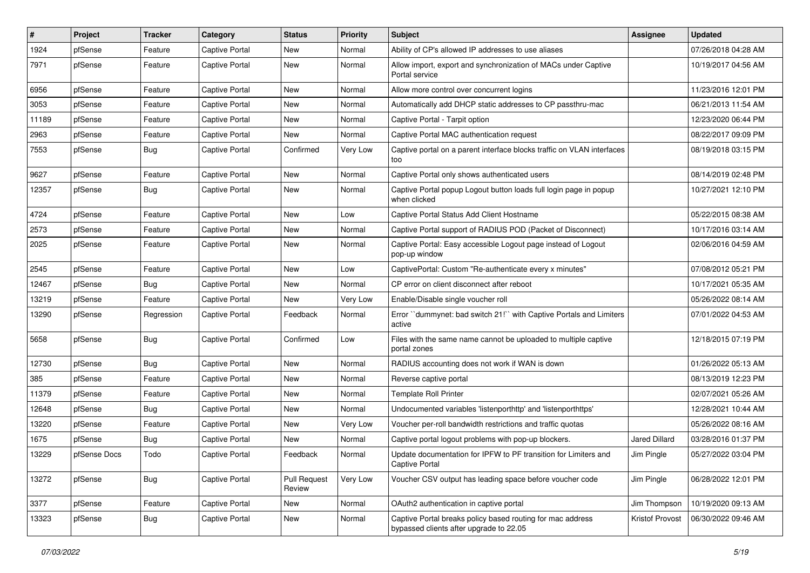| #     | Project      | <b>Tracker</b> | Category              | <b>Status</b>                 | <b>Priority</b> | <b>Subject</b>                                                                                        | Assignee        | <b>Updated</b>      |
|-------|--------------|----------------|-----------------------|-------------------------------|-----------------|-------------------------------------------------------------------------------------------------------|-----------------|---------------------|
| 1924  | pfSense      | Feature        | <b>Captive Portal</b> | New                           | Normal          | Ability of CP's allowed IP addresses to use aliases                                                   |                 | 07/26/2018 04:28 AM |
| 7971  | pfSense      | Feature        | <b>Captive Portal</b> | New                           | Normal          | Allow import, export and synchronization of MACs under Captive<br>Portal service                      |                 | 10/19/2017 04:56 AM |
| 6956  | pfSense      | Feature        | Captive Portal        | New                           | Normal          | Allow more control over concurrent logins                                                             |                 | 11/23/2016 12:01 PM |
| 3053  | pfSense      | Feature        | Captive Portal        | New                           | Normal          | Automatically add DHCP static addresses to CP passthru-mac                                            |                 | 06/21/2013 11:54 AM |
| 11189 | pfSense      | Feature        | Captive Portal        | New                           | Normal          | Captive Portal - Tarpit option                                                                        |                 | 12/23/2020 06:44 PM |
| 2963  | pfSense      | Feature        | <b>Captive Portal</b> | New                           | Normal          | Captive Portal MAC authentication request                                                             |                 | 08/22/2017 09:09 PM |
| 7553  | pfSense      | Bug            | <b>Captive Portal</b> | Confirmed                     | Very Low        | Captive portal on a parent interface blocks traffic on VLAN interfaces<br>too                         |                 | 08/19/2018 03:15 PM |
| 9627  | pfSense      | Feature        | Captive Portal        | New                           | Normal          | Captive Portal only shows authenticated users                                                         |                 | 08/14/2019 02:48 PM |
| 12357 | pfSense      | <b>Bug</b>     | Captive Portal        | New                           | Normal          | Captive Portal popup Logout button loads full login page in popup<br>when clicked                     |                 | 10/27/2021 12:10 PM |
| 4724  | pfSense      | Feature        | Captive Portal        | New                           | Low             | Captive Portal Status Add Client Hostname                                                             |                 | 05/22/2015 08:38 AM |
| 2573  | pfSense      | Feature        | Captive Portal        | New                           | Normal          | Captive Portal support of RADIUS POD (Packet of Disconnect)                                           |                 | 10/17/2016 03:14 AM |
| 2025  | pfSense      | Feature        | <b>Captive Portal</b> | New                           | Normal          | Captive Portal: Easy accessible Logout page instead of Logout<br>pop-up window                        |                 | 02/06/2016 04:59 AM |
| 2545  | pfSense      | Feature        | Captive Portal        | New                           | Low             | CaptivePortal: Custom "Re-authenticate every x minutes"                                               |                 | 07/08/2012 05:21 PM |
| 12467 | pfSense      | <b>Bug</b>     | Captive Portal        | New                           | Normal          | CP error on client disconnect after reboot                                                            |                 | 10/17/2021 05:35 AM |
| 13219 | pfSense      | Feature        | Captive Portal        | New                           | Very Low        | Enable/Disable single voucher roll                                                                    |                 | 05/26/2022 08:14 AM |
| 13290 | pfSense      | Regression     | <b>Captive Portal</b> | Feedback                      | Normal          | Error "dummynet: bad switch 21!" with Captive Portals and Limiters<br>active                          |                 | 07/01/2022 04:53 AM |
| 5658  | pfSense      | <b>Bug</b>     | Captive Portal        | Confirmed                     | Low             | Files with the same name cannot be uploaded to multiple captive<br>portal zones                       |                 | 12/18/2015 07:19 PM |
| 12730 | pfSense      | Bug            | Captive Portal        | New                           | Normal          | RADIUS accounting does not work if WAN is down                                                        |                 | 01/26/2022 05:13 AM |
| 385   | pfSense      | Feature        | Captive Portal        | New                           | Normal          | Reverse captive portal                                                                                |                 | 08/13/2019 12:23 PM |
| 11379 | pfSense      | Feature        | Captive Portal        | New                           | Normal          | <b>Template Roll Printer</b>                                                                          |                 | 02/07/2021 05:26 AM |
| 12648 | pfSense      | Bug            | Captive Portal        | New                           | Normal          | Undocumented variables 'listenporthttp' and 'listenporthttps'                                         |                 | 12/28/2021 10:44 AM |
| 13220 | pfSense      | Feature        | Captive Portal        | New                           | Very Low        | Voucher per-roll bandwidth restrictions and traffic quotas                                            |                 | 05/26/2022 08:16 AM |
| 1675  | pfSense      | <b>Bug</b>     | Captive Portal        | New                           | Normal          | Captive portal logout problems with pop-up blockers.                                                  | Jared Dillard   | 03/28/2016 01:37 PM |
| 13229 | pfSense Docs | Todo           | Captive Portal        | Feedback                      | Normal          | Update documentation for IPFW to PF transition for Limiters and<br>Captive Portal                     | Jim Pingle      | 05/27/2022 03:04 PM |
| 13272 | pfSense      | Bug            | Captive Portal        | <b>Pull Request</b><br>Review | Very Low        | Voucher CSV output has leading space before voucher code                                              | Jim Pingle      | 06/28/2022 12:01 PM |
| 3377  | pfSense      | Feature        | Captive Portal        | New                           | Normal          | OAuth2 authentication in captive portal                                                               | Jim Thompson    | 10/19/2020 09:13 AM |
| 13323 | pfSense      | Bug            | Captive Portal        | New                           | Normal          | Captive Portal breaks policy based routing for mac address<br>bypassed clients after upgrade to 22.05 | Kristof Provost | 06/30/2022 09:46 AM |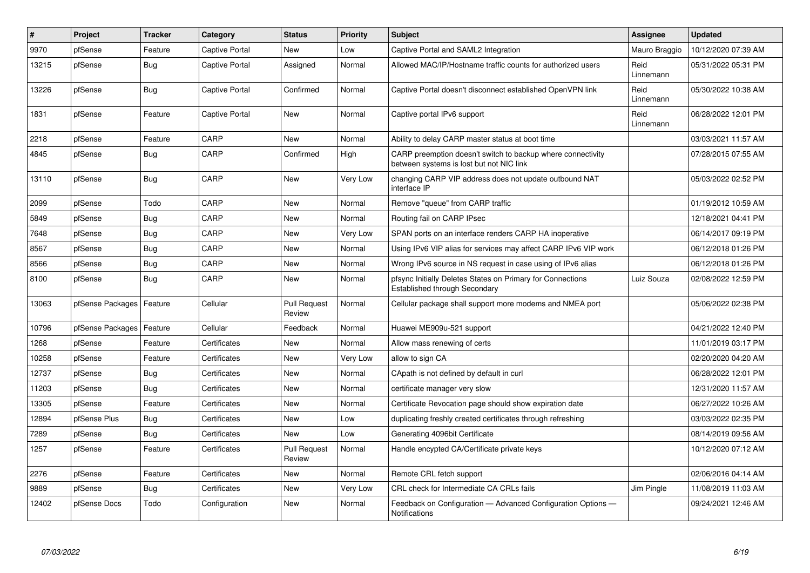| $\pmb{\#}$ | Project          | <b>Tracker</b> | Category       | <b>Status</b>                 | Priority | <b>Subject</b>                                                                                          | <b>Assignee</b>   | <b>Updated</b>      |
|------------|------------------|----------------|----------------|-------------------------------|----------|---------------------------------------------------------------------------------------------------------|-------------------|---------------------|
| 9970       | pfSense          | Feature        | Captive Portal | <b>New</b>                    | Low      | Captive Portal and SAML2 Integration                                                                    | Mauro Braggio     | 10/12/2020 07:39 AM |
| 13215      | pfSense          | <b>Bug</b>     | Captive Portal | Assigned                      | Normal   | Allowed MAC/IP/Hostname traffic counts for authorized users                                             | Reid<br>Linnemann | 05/31/2022 05:31 PM |
| 13226      | pfSense          | <b>Bug</b>     | Captive Portal | Confirmed                     | Normal   | Captive Portal doesn't disconnect established OpenVPN link                                              | Reid<br>Linnemann | 05/30/2022 10:38 AM |
| 1831       | pfSense          | Feature        | Captive Portal | <b>New</b>                    | Normal   | Captive portal IPv6 support                                                                             | Reid<br>Linnemann | 06/28/2022 12:01 PM |
| 2218       | pfSense          | Feature        | CARP           | <b>New</b>                    | Normal   | Ability to delay CARP master status at boot time                                                        |                   | 03/03/2021 11:57 AM |
| 4845       | pfSense          | <b>Bug</b>     | CARP           | Confirmed                     | High     | CARP preemption doesn't switch to backup where connectivity<br>between systems is lost but not NIC link |                   | 07/28/2015 07:55 AM |
| 13110      | pfSense          | <b>Bug</b>     | CARP           | <b>New</b>                    | Very Low | changing CARP VIP address does not update outbound NAT<br>interface IP                                  |                   | 05/03/2022 02:52 PM |
| 2099       | pfSense          | Todo           | CARP           | <b>New</b>                    | Normal   | Remove "queue" from CARP traffic                                                                        |                   | 01/19/2012 10:59 AM |
| 5849       | pfSense          | Bug            | CARP           | <b>New</b>                    | Normal   | Routing fail on CARP IPsec                                                                              |                   | 12/18/2021 04:41 PM |
| 7648       | pfSense          | Bug            | CARP           | <b>New</b>                    | Very Low | SPAN ports on an interface renders CARP HA inoperative                                                  |                   | 06/14/2017 09:19 PM |
| 8567       | pfSense          | Bug            | CARP           | <b>New</b>                    | Normal   | Using IPv6 VIP alias for services may affect CARP IPv6 VIP work                                         |                   | 06/12/2018 01:26 PM |
| 8566       | pfSense          | Bug            | CARP           | <b>New</b>                    | Normal   | Wrong IPv6 source in NS request in case using of IPv6 alias                                             |                   | 06/12/2018 01:26 PM |
| 8100       | pfSense          | Bug            | CARP           | New                           | Normal   | pfsync Initially Deletes States on Primary for Connections<br><b>Established through Secondary</b>      | Luiz Souza        | 02/08/2022 12:59 PM |
| 13063      | pfSense Packages | Feature        | Cellular       | <b>Pull Request</b><br>Review | Normal   | Cellular package shall support more modems and NMEA port                                                |                   | 05/06/2022 02:38 PM |
| 10796      | pfSense Packages | Feature        | Cellular       | Feedback                      | Normal   | Huawei ME909u-521 support                                                                               |                   | 04/21/2022 12:40 PM |
| 1268       | pfSense          | Feature        | Certificates   | New                           | Normal   | Allow mass renewing of certs                                                                            |                   | 11/01/2019 03:17 PM |
| 10258      | pfSense          | Feature        | Certificates   | New                           | Very Low | allow to sign CA                                                                                        |                   | 02/20/2020 04:20 AM |
| 12737      | pfSense          | <b>Bug</b>     | Certificates   | New                           | Normal   | CApath is not defined by default in curl                                                                |                   | 06/28/2022 12:01 PM |
| 11203      | pfSense          | Bug            | Certificates   | New                           | Normal   | certificate manager very slow                                                                           |                   | 12/31/2020 11:57 AM |
| 13305      | pfSense          | Feature        | Certificates   | <b>New</b>                    | Normal   | Certificate Revocation page should show expiration date                                                 |                   | 06/27/2022 10:26 AM |
| 12894      | pfSense Plus     | Bug            | Certificates   | <b>New</b>                    | Low      | duplicating freshly created certificates through refreshing                                             |                   | 03/03/2022 02:35 PM |
| 7289       | pfSense          | <b>Bug</b>     | Certificates   | <b>New</b>                    | Low      | Generating 4096bit Certificate                                                                          |                   | 08/14/2019 09:56 AM |
| 1257       | pfSense          | Feature        | Certificates   | <b>Pull Request</b><br>Review | Normal   | Handle encypted CA/Certificate private keys                                                             |                   | 10/12/2020 07:12 AM |
| 2276       | pfSense          | Feature        | Certificates   | <b>New</b>                    | Normal   | Remote CRL fetch support                                                                                |                   | 02/06/2016 04:14 AM |
| 9889       | pfSense          | <b>Bug</b>     | Certificates   | New                           | Very Low | CRL check for Intermediate CA CRLs fails                                                                | Jim Pingle        | 11/08/2019 11:03 AM |
| 12402      | pfSense Docs     | Todo           | Configuration  | <b>New</b>                    | Normal   | Feedback on Configuration — Advanced Configuration Options —<br>Notifications                           |                   | 09/24/2021 12:46 AM |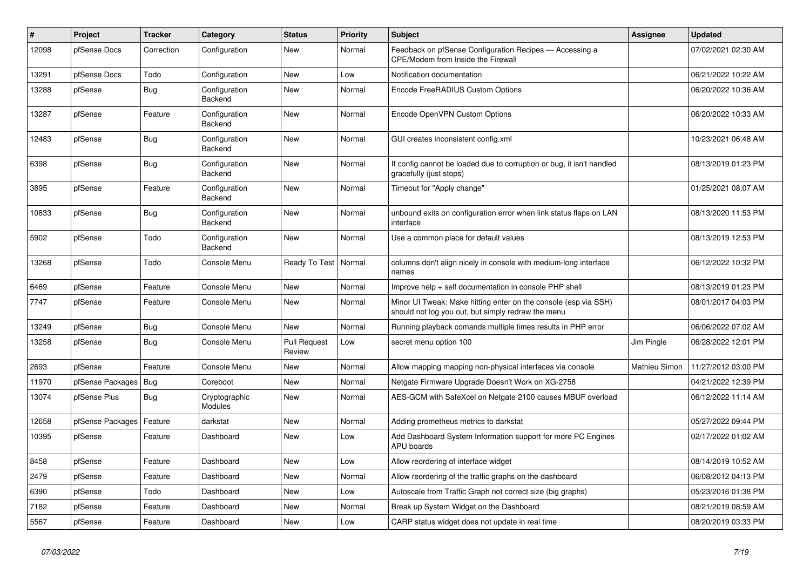| #     | <b>Project</b>   | <b>Tracker</b> | Category                        | <b>Status</b>                 | <b>Priority</b> | <b>Subject</b>                                                                                                        | <b>Assignee</b> | <b>Updated</b>      |
|-------|------------------|----------------|---------------------------------|-------------------------------|-----------------|-----------------------------------------------------------------------------------------------------------------------|-----------------|---------------------|
| 12098 | pfSense Docs     | Correction     | Configuration                   | <b>New</b>                    | Normal          | Feedback on pfSense Configuration Recipes - Accessing a<br>CPE/Modem from Inside the Firewall                         |                 | 07/02/2021 02:30 AM |
| 13291 | pfSense Docs     | Todo           | Configuration                   | New                           | Low             | Notification documentation                                                                                            |                 | 06/21/2022 10:22 AM |
| 13288 | pfSense          | <b>Bug</b>     | Configuration<br>Backend        | <b>New</b>                    | Normal          | Encode FreeRADIUS Custom Options                                                                                      |                 | 06/20/2022 10:36 AM |
| 13287 | pfSense          | Feature        | Configuration<br>Backend        | <b>New</b>                    | Normal          | Encode OpenVPN Custom Options                                                                                         |                 | 06/20/2022 10:33 AM |
| 12483 | pfSense          | <b>Bug</b>     | Configuration<br>Backend        | <b>New</b>                    | Normal          | GUI creates inconsistent config.xml                                                                                   |                 | 10/23/2021 06:48 AM |
| 6398  | pfSense          | Bug            | Configuration<br>Backend        | <b>New</b>                    | Normal          | If config cannot be loaded due to corruption or bug, it isn't handled<br>gracefully (just stops)                      |                 | 08/13/2019 01:23 PM |
| 3895  | pfSense          | Feature        | Configuration<br>Backend        | <b>New</b>                    | Normal          | Timeout for "Apply change"                                                                                            |                 | 01/25/2021 08:07 AM |
| 10833 | pfSense          | <b>Bug</b>     | Configuration<br>Backend        | <b>New</b>                    | Normal          | unbound exits on configuration error when link status flaps on LAN<br>interface                                       |                 | 08/13/2020 11:53 PM |
| 5902  | pfSense          | Todo           | Configuration<br>Backend        | <b>New</b>                    | Normal          | Use a common place for default values                                                                                 |                 | 08/13/2019 12:53 PM |
| 13268 | pfSense          | Todo           | Console Menu                    | Ready To Test                 | Normal          | columns don't align nicely in console with medium-long interface<br>names                                             |                 | 06/12/2022 10:32 PM |
| 6469  | pfSense          | Feature        | Console Menu                    | <b>New</b>                    | Normal          | Improve help + self documentation in console PHP shell                                                                |                 | 08/13/2019 01:23 PM |
| 7747  | pfSense          | Feature        | Console Menu                    | New                           | Normal          | Minor UI Tweak: Make hitting enter on the console (esp via SSH)<br>should not log you out, but simply redraw the menu |                 | 08/01/2017 04:03 PM |
| 13249 | pfSense          | Bug            | Console Menu                    | <b>New</b>                    | Normal          | Running playback comands multiple times results in PHP error                                                          |                 | 06/06/2022 07:02 AM |
| 13258 | pfSense          | <b>Bug</b>     | Console Menu                    | <b>Pull Request</b><br>Review | Low             | secret menu option 100                                                                                                | Jim Pingle      | 06/28/2022 12:01 PM |
| 2693  | pfSense          | Feature        | Console Menu                    | <b>New</b>                    | Normal          | Allow mapping mapping non-physical interfaces via console                                                             | Mathieu Simon   | 11/27/2012 03:00 PM |
| 11970 | pfSense Packages | Bug            | Coreboot                        | <b>New</b>                    | Normal          | Netgate Firmware Upgrade Doesn't Work on XG-2758                                                                      |                 | 04/21/2022 12:39 PM |
| 13074 | pfSense Plus     | Bug            | Cryptographic<br><b>Modules</b> | New                           | Normal          | AES-GCM with SafeXcel on Netgate 2100 causes MBUF overload                                                            |                 | 06/12/2022 11:14 AM |
| 12658 | pfSense Packages | Feature        | darkstat                        | <b>New</b>                    | Normal          | Adding prometheus metrics to darkstat                                                                                 |                 | 05/27/2022 09:44 PM |
| 10395 | pfSense          | Feature        | Dashboard                       | <b>New</b>                    | Low             | Add Dashboard System Information support for more PC Engines<br>APU boards                                            |                 | 02/17/2022 01:02 AM |
| 8458  | pfSense          | Feature        | Dashboard                       | <b>New</b>                    | Low             | Allow reordering of interface widget                                                                                  |                 | 08/14/2019 10:52 AM |
| 2479  | pfSense          | Feature        | Dashboard                       | <b>New</b>                    | Normal          | Allow reordering of the traffic graphs on the dashboard                                                               |                 | 06/08/2012 04:13 PM |
| 6390  | pfSense          | Todo           | Dashboard                       | <b>New</b>                    | Low             | Autoscale from Traffic Graph not correct size (big graphs)                                                            |                 | 05/23/2016 01:38 PM |
| 7182  | pfSense          | Feature        | Dashboard                       | <b>New</b>                    | Normal          | Break up System Widget on the Dashboard                                                                               |                 | 08/21/2019 08:59 AM |
| 5567  | pfSense          | Feature        | Dashboard                       | <b>New</b>                    | Low             | CARP status widget does not update in real time                                                                       |                 | 08/20/2019 03:33 PM |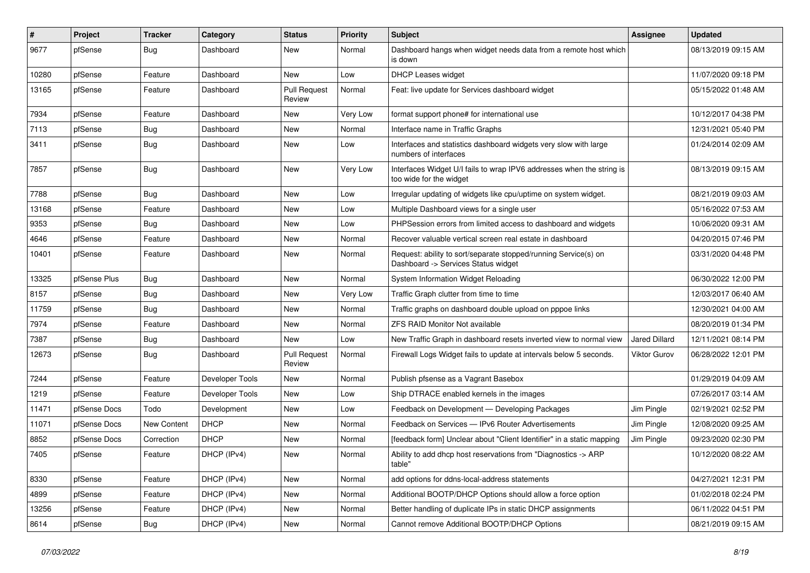| $\sharp$ | Project      | Tracker     | Category        | <b>Status</b>                 | <b>Priority</b> | Subject                                                                                                | Assignee            | <b>Updated</b>      |
|----------|--------------|-------------|-----------------|-------------------------------|-----------------|--------------------------------------------------------------------------------------------------------|---------------------|---------------------|
| 9677     | pfSense      | <b>Bug</b>  | Dashboard       | New                           | Normal          | Dashboard hangs when widget needs data from a remote host which<br>is down                             |                     | 08/13/2019 09:15 AM |
| 10280    | pfSense      | Feature     | Dashboard       | New                           | Low             | DHCP Leases widget                                                                                     |                     | 11/07/2020 09:18 PM |
| 13165    | pfSense      | Feature     | Dashboard       | <b>Pull Request</b><br>Review | Normal          | Feat: live update for Services dashboard widget                                                        |                     | 05/15/2022 01:48 AM |
| 7934     | pfSense      | Feature     | Dashboard       | New                           | Very Low        | format support phone# for international use                                                            |                     | 10/12/2017 04:38 PM |
| 7113     | pfSense      | Bug         | Dashboard       | New                           | Normal          | Interface name in Traffic Graphs                                                                       |                     | 12/31/2021 05:40 PM |
| 3411     | pfSense      | <b>Bug</b>  | Dashboard       | New                           | Low             | Interfaces and statistics dashboard widgets very slow with large<br>numbers of interfaces              |                     | 01/24/2014 02:09 AM |
| 7857     | pfSense      | Bug         | Dashboard       | <b>New</b>                    | Very Low        | Interfaces Widget U/I fails to wrap IPV6 addresses when the string is<br>too wide for the widget       |                     | 08/13/2019 09:15 AM |
| 7788     | pfSense      | <b>Bug</b>  | Dashboard       | <b>New</b>                    | Low             | Irregular updating of widgets like cpu/uptime on system widget.                                        |                     | 08/21/2019 09:03 AM |
| 13168    | pfSense      | Feature     | Dashboard       | New                           | Low             | Multiple Dashboard views for a single user                                                             |                     | 05/16/2022 07:53 AM |
| 9353     | pfSense      | <b>Bug</b>  | Dashboard       | <b>New</b>                    | Low             | PHPSession errors from limited access to dashboard and widgets                                         |                     | 10/06/2020 09:31 AM |
| 4646     | pfSense      | Feature     | Dashboard       | New                           | Normal          | Recover valuable vertical screen real estate in dashboard                                              |                     | 04/20/2015 07:46 PM |
| 10401    | pfSense      | Feature     | Dashboard       | New                           | Normal          | Request: ability to sort/separate stopped/running Service(s) on<br>Dashboard -> Services Status widget |                     | 03/31/2020 04:48 PM |
| 13325    | pfSense Plus | <b>Bug</b>  | Dashboard       | <b>New</b>                    | Normal          | System Information Widget Reloading                                                                    |                     | 06/30/2022 12:00 PM |
| 8157     | pfSense      | <b>Bug</b>  | Dashboard       | New                           | Very Low        | Traffic Graph clutter from time to time                                                                |                     | 12/03/2017 06:40 AM |
| 11759    | pfSense      | Bug         | Dashboard       | New                           | Normal          | Traffic graphs on dashboard double upload on pppoe links                                               |                     | 12/30/2021 04:00 AM |
| 7974     | pfSense      | Feature     | Dashboard       | <b>New</b>                    | Normal          | <b>ZFS RAID Monitor Not available</b>                                                                  |                     | 08/20/2019 01:34 PM |
| 7387     | pfSense      | <b>Bug</b>  | Dashboard       | New                           | Low             | New Traffic Graph in dashboard resets inverted view to normal view                                     | Jared Dillard       | 12/11/2021 08:14 PM |
| 12673    | pfSense      | Bug         | Dashboard       | <b>Pull Request</b><br>Review | Normal          | Firewall Logs Widget fails to update at intervals below 5 seconds.                                     | <b>Viktor Gurov</b> | 06/28/2022 12:01 PM |
| 7244     | pfSense      | Feature     | Developer Tools | New                           | Normal          | Publish pfsense as a Vagrant Basebox                                                                   |                     | 01/29/2019 04:09 AM |
| 1219     | pfSense      | Feature     | Developer Tools | New                           | Low             | Ship DTRACE enabled kernels in the images                                                              |                     | 07/26/2017 03:14 AM |
| 11471    | pfSense Docs | Todo        | Development     | New                           | Low             | Feedback on Development - Developing Packages                                                          | Jim Pingle          | 02/19/2021 02:52 PM |
| 11071    | pfSense Docs | New Content | <b>DHCP</b>     | New                           | Normal          | Feedback on Services - IPv6 Router Advertisements                                                      | Jim Pingle          | 12/08/2020 09:25 AM |
| 8852     | pfSense Docs | Correction  | DHCP            | New                           | Normal          | [feedback form] Unclear about "Client Identifier" in a static mapping                                  | Jim Pingle          | 09/23/2020 02:30 PM |
| 7405     | pfSense      | Feature     | DHCP (IPv4)     | New                           | Normal          | Ability to add dhcp host reservations from "Diagnostics -> ARP<br>table"                               |                     | 10/12/2020 08:22 AM |
| 8330     | pfSense      | Feature     | DHCP (IPv4)     | New                           | Normal          | add options for ddns-local-address statements                                                          |                     | 04/27/2021 12:31 PM |
| 4899     | pfSense      | Feature     | DHCP (IPv4)     | New                           | Normal          | Additional BOOTP/DHCP Options should allow a force option                                              |                     | 01/02/2018 02:24 PM |
| 13256    | pfSense      | Feature     | DHCP (IPv4)     | New                           | Normal          | Better handling of duplicate IPs in static DHCP assignments                                            |                     | 06/11/2022 04:51 PM |
| 8614     | pfSense      | <b>Bug</b>  | DHCP (IPv4)     | New                           | Normal          | Cannot remove Additional BOOTP/DHCP Options                                                            |                     | 08/21/2019 09:15 AM |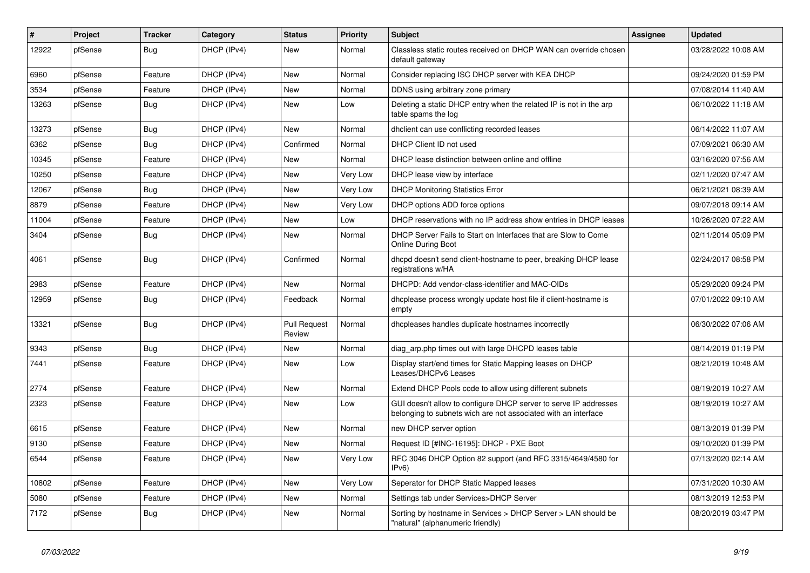| $\vert$ # | Project | <b>Tracker</b> | Category    | <b>Status</b>                 | <b>Priority</b> | Subject                                                                                                                            | Assignee | <b>Updated</b>      |
|-----------|---------|----------------|-------------|-------------------------------|-----------------|------------------------------------------------------------------------------------------------------------------------------------|----------|---------------------|
| 12922     | pfSense | Bug            | DHCP (IPv4) | <b>New</b>                    | Normal          | Classless static routes received on DHCP WAN can override chosen<br>default gateway                                                |          | 03/28/2022 10:08 AM |
| 6960      | pfSense | Feature        | DHCP (IPv4) | <b>New</b>                    | Normal          | Consider replacing ISC DHCP server with KEA DHCP                                                                                   |          | 09/24/2020 01:59 PM |
| 3534      | pfSense | Feature        | DHCP (IPv4) | <b>New</b>                    | Normal          | DDNS using arbitrary zone primary                                                                                                  |          | 07/08/2014 11:40 AM |
| 13263     | pfSense | <b>Bug</b>     | DHCP (IPv4) | New                           | Low             | Deleting a static DHCP entry when the related IP is not in the arp<br>table spams the log                                          |          | 06/10/2022 11:18 AM |
| 13273     | pfSense | <b>Bug</b>     | DHCP (IPv4) | <b>New</b>                    | Normal          | dhclient can use conflicting recorded leases                                                                                       |          | 06/14/2022 11:07 AM |
| 6362      | pfSense | Bug            | DHCP (IPv4) | Confirmed                     | Normal          | DHCP Client ID not used                                                                                                            |          | 07/09/2021 06:30 AM |
| 10345     | pfSense | Feature        | DHCP (IPv4) | <b>New</b>                    | Normal          | DHCP lease distinction between online and offline                                                                                  |          | 03/16/2020 07:56 AM |
| 10250     | pfSense | Feature        | DHCP (IPv4) | <b>New</b>                    | Very Low        | DHCP lease view by interface                                                                                                       |          | 02/11/2020 07:47 AM |
| 12067     | pfSense | Bug            | DHCP (IPv4) | <b>New</b>                    | Very Low        | <b>DHCP Monitoring Statistics Error</b>                                                                                            |          | 06/21/2021 08:39 AM |
| 8879      | pfSense | Feature        | DHCP (IPv4) | <b>New</b>                    | Very Low        | DHCP options ADD force options                                                                                                     |          | 09/07/2018 09:14 AM |
| 11004     | pfSense | Feature        | DHCP (IPv4) | <b>New</b>                    | Low             | DHCP reservations with no IP address show entries in DHCP leases                                                                   |          | 10/26/2020 07:22 AM |
| 3404      | pfSense | Bug            | DHCP (IPv4) | <b>New</b>                    | Normal          | DHCP Server Fails to Start on Interfaces that are Slow to Come<br><b>Online During Boot</b>                                        |          | 02/11/2014 05:09 PM |
| 4061      | pfSense | <b>Bug</b>     | DHCP (IPv4) | Confirmed                     | Normal          | dhcpd doesn't send client-hostname to peer, breaking DHCP lease<br>registrations w/HA                                              |          | 02/24/2017 08:58 PM |
| 2983      | pfSense | Feature        | DHCP (IPv4) | <b>New</b>                    | Normal          | DHCPD: Add vendor-class-identifier and MAC-OIDs                                                                                    |          | 05/29/2020 09:24 PM |
| 12959     | pfSense | <b>Bug</b>     | DHCP (IPv4) | Feedback                      | Normal          | dhcplease process wrongly update host file if client-hostname is<br>empty                                                          |          | 07/01/2022 09:10 AM |
| 13321     | pfSense | Bug            | DHCP (IPv4) | <b>Pull Request</b><br>Review | Normal          | dhcpleases handles duplicate hostnames incorrectly                                                                                 |          | 06/30/2022 07:06 AM |
| 9343      | pfSense | <b>Bug</b>     | DHCP (IPv4) | <b>New</b>                    | Normal          | diag_arp.php times out with large DHCPD leases table                                                                               |          | 08/14/2019 01:19 PM |
| 7441      | pfSense | Feature        | DHCP (IPv4) | <b>New</b>                    | Low             | Display start/end times for Static Mapping leases on DHCP<br>Leases/DHCPv6 Leases                                                  |          | 08/21/2019 10:48 AM |
| 2774      | pfSense | Feature        | DHCP (IPv4) | New                           | Normal          | Extend DHCP Pools code to allow using different subnets                                                                            |          | 08/19/2019 10:27 AM |
| 2323      | pfSense | Feature        | DHCP (IPv4) | <b>New</b>                    | Low             | GUI doesn't allow to configure DHCP server to serve IP addresses<br>belonging to subnets wich are not associated with an interface |          | 08/19/2019 10:27 AM |
| 6615      | pfSense | Feature        | DHCP (IPv4) | <b>New</b>                    | Normal          | new DHCP server option                                                                                                             |          | 08/13/2019 01:39 PM |
| 9130      | pfSense | Feature        | DHCP (IPv4) | <b>New</b>                    | Normal          | Request ID [#INC-16195]: DHCP - PXE Boot                                                                                           |          | 09/10/2020 01:39 PM |
| 6544      | pfSense | Feature        | DHCP (IPv4) | New                           | Very Low        | RFC 3046 DHCP Option 82 support (and RFC 3315/4649/4580 for<br>IPv6                                                                |          | 07/13/2020 02:14 AM |
| 10802     | pfSense | Feature        | DHCP (IPv4) | <b>New</b>                    | Very Low        | Seperator for DHCP Static Mapped leases                                                                                            |          | 07/31/2020 10:30 AM |
| 5080      | pfSense | Feature        | DHCP (IPv4) | <b>New</b>                    | Normal          | Settings tab under Services>DHCP Server                                                                                            |          | 08/13/2019 12:53 PM |
| 7172      | pfSense | <b>Bug</b>     | DHCP (IPv4) | <b>New</b>                    | Normal          | Sorting by hostname in Services > DHCP Server > LAN should be<br>"natural" (alphanumeric friendly)                                 |          | 08/20/2019 03:47 PM |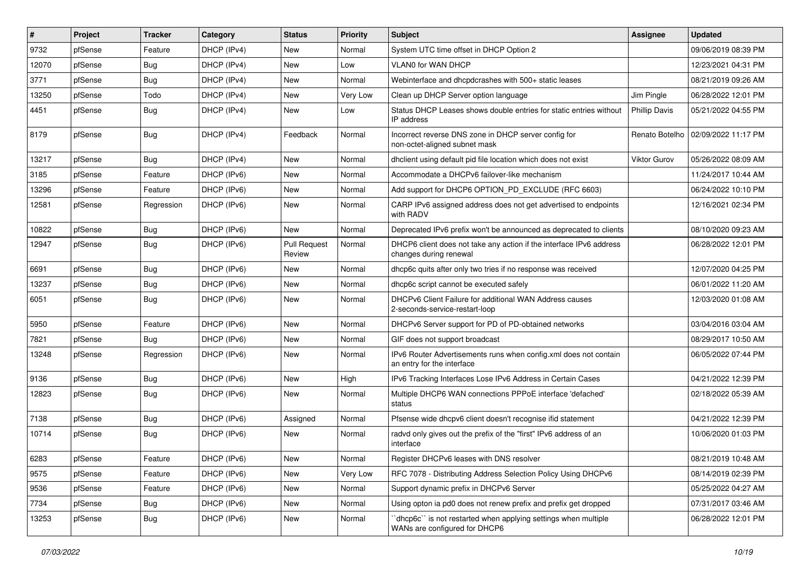| $\pmb{\sharp}$ | Project | <b>Tracker</b> | Category    | <b>Status</b>                 | <b>Priority</b> | Subject                                                                                        | Assignee             | <b>Updated</b>                       |
|----------------|---------|----------------|-------------|-------------------------------|-----------------|------------------------------------------------------------------------------------------------|----------------------|--------------------------------------|
| 9732           | pfSense | Feature        | DHCP (IPv4) | New                           | Normal          | System UTC time offset in DHCP Option 2                                                        |                      | 09/06/2019 08:39 PM                  |
| 12070          | pfSense | Bug            | DHCP (IPv4) | New                           | Low             | <b>VLAN0 for WAN DHCP</b>                                                                      |                      | 12/23/2021 04:31 PM                  |
| 3771           | pfSense | Bug            | DHCP (IPv4) | New                           | Normal          | Webinterface and dhcpdcrashes with 500+ static leases                                          |                      | 08/21/2019 09:26 AM                  |
| 13250          | pfSense | Todo           | DHCP (IPv4) | <b>New</b>                    | Very Low        | Clean up DHCP Server option language                                                           | Jim Pingle           | 06/28/2022 12:01 PM                  |
| 4451           | pfSense | <b>Bug</b>     | DHCP (IPv4) | New                           | Low             | Status DHCP Leases shows double entries for static entries without<br>IP address               | <b>Phillip Davis</b> | 05/21/2022 04:55 PM                  |
| 8179           | pfSense | Bug            | DHCP (IPv4) | Feedback                      | Normal          | Incorrect reverse DNS zone in DHCP server config for<br>non-octet-aligned subnet mask          |                      | Renato Botelho   02/09/2022 11:17 PM |
| 13217          | pfSense | <b>Bug</b>     | DHCP (IPv4) | New                           | Normal          | dhclient using default pid file location which does not exist                                  | <b>Viktor Gurov</b>  | 05/26/2022 08:09 AM                  |
| 3185           | pfSense | Feature        | DHCP (IPv6) | <b>New</b>                    | Normal          | Accommodate a DHCPv6 failover-like mechanism                                                   |                      | 11/24/2017 10:44 AM                  |
| 13296          | pfSense | Feature        | DHCP (IPv6) | New                           | Normal          | Add support for DHCP6 OPTION_PD_EXCLUDE (RFC 6603)                                             |                      | 06/24/2022 10:10 PM                  |
| 12581          | pfSense | Regression     | DHCP (IPv6) | <b>New</b>                    | Normal          | CARP IPv6 assigned address does not get advertised to endpoints<br>with RADV                   |                      | 12/16/2021 02:34 PM                  |
| 10822          | pfSense | <b>Bug</b>     | DHCP (IPv6) | New                           | Normal          | Deprecated IPv6 prefix won't be announced as deprecated to clients                             |                      | 08/10/2020 09:23 AM                  |
| 12947          | pfSense | Bug            | DHCP (IPv6) | <b>Pull Request</b><br>Review | Normal          | DHCP6 client does not take any action if the interface IPv6 address<br>changes during renewal  |                      | 06/28/2022 12:01 PM                  |
| 6691           | pfSense | Bug            | DHCP (IPv6) | New                           | Normal          | dhcp6c quits after only two tries if no response was received                                  |                      | 12/07/2020 04:25 PM                  |
| 13237          | pfSense | Bug            | DHCP (IPv6) | New                           | Normal          | dhcp6c script cannot be executed safely                                                        |                      | 06/01/2022 11:20 AM                  |
| 6051           | pfSense | Bug            | DHCP (IPv6) | New                           | Normal          | DHCPv6 Client Failure for additional WAN Address causes<br>2-seconds-service-restart-loop      |                      | 12/03/2020 01:08 AM                  |
| 5950           | pfSense | Feature        | DHCP (IPv6) | <b>New</b>                    | Normal          | DHCPv6 Server support for PD of PD-obtained networks                                           |                      | 03/04/2016 03:04 AM                  |
| 7821           | pfSense | Bug            | DHCP (IPv6) | New                           | Normal          | GIF does not support broadcast                                                                 |                      | 08/29/2017 10:50 AM                  |
| 13248          | pfSense | Regression     | DHCP (IPv6) | New                           | Normal          | IPv6 Router Advertisements runs when config.xml does not contain<br>an entry for the interface |                      | 06/05/2022 07:44 PM                  |
| 9136           | pfSense | <b>Bug</b>     | DHCP (IPv6) | New                           | High            | IPv6 Tracking Interfaces Lose IPv6 Address in Certain Cases                                    |                      | 04/21/2022 12:39 PM                  |
| 12823          | pfSense | Bug            | DHCP (IPv6) | New                           | Normal          | Multiple DHCP6 WAN connections PPPoE interface 'defached'<br>status                            |                      | 02/18/2022 05:39 AM                  |
| 7138           | pfSense | Bug            | DHCP (IPv6) | Assigned                      | Normal          | Pfsense wide dhcpv6 client doesn't recognise if id statement                                   |                      | 04/21/2022 12:39 PM                  |
| 10714          | pfSense | Bug            | DHCP (IPv6) | New                           | Normal          | radvd only gives out the prefix of the "first" IPv6 address of an<br>interface                 |                      | 10/06/2020 01:03 PM                  |
| 6283           | pfSense | Feature        | DHCP (IPv6) | New                           | Normal          | Register DHCPv6 leases with DNS resolver                                                       |                      | 08/21/2019 10:48 AM                  |
| 9575           | pfSense | Feature        | DHCP (IPv6) | New                           | Very Low        | RFC 7078 - Distributing Address Selection Policy Using DHCPv6                                  |                      | 08/14/2019 02:39 PM                  |
| 9536           | pfSense | Feature        | DHCP (IPv6) | New                           | Normal          | Support dynamic prefix in DHCPv6 Server                                                        |                      | 05/25/2022 04:27 AM                  |
| 7734           | pfSense | <b>Bug</b>     | DHCP (IPv6) | New                           | Normal          | Using opton ia pd0 does not renew prefix and prefix get dropped                                |                      | 07/31/2017 03:46 AM                  |
| 13253          | pfSense | <b>Bug</b>     | DHCP (IPv6) | New                           | Normal          | dhcp6c" is not restarted when applying settings when multiple<br>WANs are configured for DHCP6 |                      | 06/28/2022 12:01 PM                  |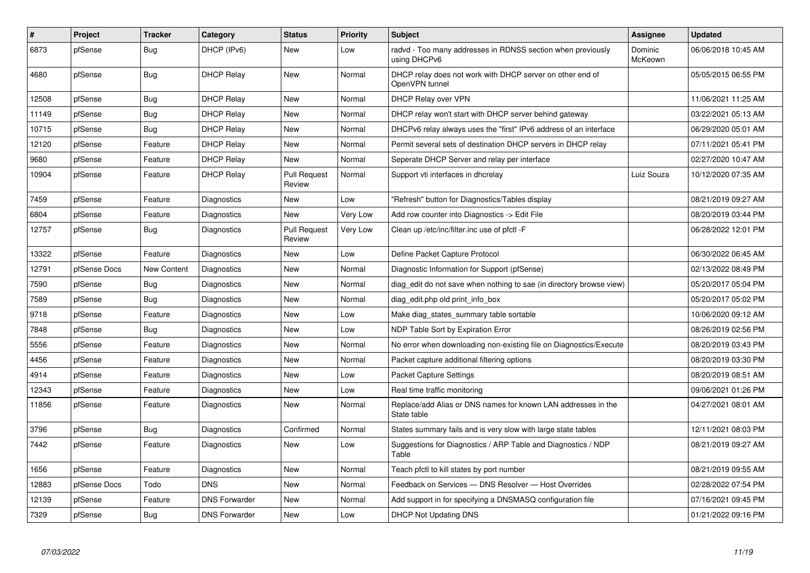| #     | Project      | <b>Tracker</b>     | Category             | <b>Status</b>                 | Priority | <b>Subject</b>                                                               | <b>Assignee</b>    | <b>Updated</b>      |
|-------|--------------|--------------------|----------------------|-------------------------------|----------|------------------------------------------------------------------------------|--------------------|---------------------|
| 6873  | pfSense      | <b>Bug</b>         | DHCP (IPv6)          | New                           | Low      | radvd - Too many addresses in RDNSS section when previously<br>using DHCPv6  | Dominic<br>McKeown | 06/06/2018 10:45 AM |
| 4680  | pfSense      | <b>Bug</b>         | <b>DHCP Relay</b>    | New                           | Normal   | DHCP relay does not work with DHCP server on other end of<br>OpenVPN tunnel  |                    | 05/05/2015 06:55 PM |
| 12508 | pfSense      | <b>Bug</b>         | <b>DHCP Relay</b>    | <b>New</b>                    | Normal   | DHCP Relay over VPN                                                          |                    | 11/06/2021 11:25 AM |
| 11149 | pfSense      | <b>Bug</b>         | <b>DHCP Relay</b>    | New                           | Normal   | DHCP relay won't start with DHCP server behind gateway                       |                    | 03/22/2021 05:13 AM |
| 10715 | pfSense      | Bug                | <b>DHCP Relay</b>    | New                           | Normal   | DHCPv6 relay always uses the "first" IPv6 address of an interface            |                    | 06/29/2020 05:01 AM |
| 12120 | pfSense      | Feature            | <b>DHCP Relay</b>    | <b>New</b>                    | Normal   | Permit several sets of destination DHCP servers in DHCP relay                |                    | 07/11/2021 05:41 PM |
| 9680  | pfSense      | Feature            | <b>DHCP Relay</b>    | New                           | Normal   | Seperate DHCP Server and relay per interface                                 |                    | 02/27/2020 10:47 AM |
| 10904 | pfSense      | Feature            | <b>DHCP Relay</b>    | <b>Pull Request</b><br>Review | Normal   | Support vti interfaces in dhcrelay                                           | Luiz Souza         | 10/12/2020 07:35 AM |
| 7459  | pfSense      | Feature            | Diagnostics          | New                           | Low      | "Refresh" button for Diagnostics/Tables display                              |                    | 08/21/2019 09:27 AM |
| 6804  | pfSense      | Feature            | Diagnostics          | <b>New</b>                    | Very Low | Add row counter into Diagnostics -> Edit File                                |                    | 08/20/2019 03:44 PM |
| 12757 | pfSense      | <b>Bug</b>         | Diagnostics          | <b>Pull Request</b><br>Review | Very Low | Clean up /etc/inc/filter.inc use of pfctl -F                                 |                    | 06/28/2022 12:01 PM |
| 13322 | pfSense      | Feature            | Diagnostics          | New                           | Low      | Define Packet Capture Protocol                                               |                    | 06/30/2022 06:45 AM |
| 12791 | pfSense Docs | <b>New Content</b> | Diagnostics          | New                           | Normal   | Diagnostic Information for Support (pfSense)                                 |                    | 02/13/2022 08:49 PM |
| 7590  | pfSense      | Bug                | Diagnostics          | <b>New</b>                    | Normal   | diag edit do not save when nothing to sae (in directory browse view)         |                    | 05/20/2017 05:04 PM |
| 7589  | pfSense      | Bug                | Diagnostics          | New                           | Normal   | diag_edit.php old print_info_box                                             |                    | 05/20/2017 05:02 PM |
| 9718  | pfSense      | Feature            | Diagnostics          | New                           | Low      | Make diag states summary table sortable                                      |                    | 10/06/2020 09:12 AM |
| 7848  | pfSense      | Bug                | Diagnostics          | New                           | Low      | NDP Table Sort by Expiration Error                                           |                    | 08/26/2019 02:56 PM |
| 5556  | pfSense      | Feature            | Diagnostics          | New                           | Normal   | No error when downloading non-existing file on Diagnostics/Execute           |                    | 08/20/2019 03:43 PM |
| 4456  | pfSense      | Feature            | Diagnostics          | New                           | Normal   | Packet capture additional filtering options                                  |                    | 08/20/2019 03:30 PM |
| 4914  | pfSense      | Feature            | Diagnostics          | New                           | Low      | <b>Packet Capture Settings</b>                                               |                    | 08/20/2019 08:51 AM |
| 12343 | pfSense      | Feature            | Diagnostics          | New                           | Low      | Real time traffic monitoring                                                 |                    | 09/06/2021 01:26 PM |
| 11856 | pfSense      | Feature            | Diagnostics          | New                           | Normal   | Replace/add Alias or DNS names for known LAN addresses in the<br>State table |                    | 04/27/2021 08:01 AM |
| 3796  | pfSense      | <b>Bug</b>         | Diagnostics          | Confirmed                     | Normal   | States summary fails and is very slow with large state tables                |                    | 12/11/2021 08:03 PM |
| 7442  | pfSense      | Feature            | Diagnostics          | New                           | Low      | Suggestions for Diagnostics / ARP Table and Diagnostics / NDP<br>Table       |                    | 08/21/2019 09:27 AM |
| 1656  | pfSense      | Feature            | Diagnostics          | <b>New</b>                    | Normal   | Teach pfctl to kill states by port number                                    |                    | 08/21/2019 09:55 AM |
| 12883 | pfSense Docs | Todo               | <b>DNS</b>           | New                           | Normal   | Feedback on Services - DNS Resolver - Host Overrides                         |                    | 02/28/2022 07:54 PM |
| 12139 | pfSense      | Feature            | <b>DNS Forwarder</b> | New                           | Normal   | Add support in for specifying a DNSMASQ configuration file                   |                    | 07/16/2021 09:45 PM |
| 7329  | pfSense      | Bug                | <b>DNS Forwarder</b> | <b>New</b>                    | Low      | <b>DHCP Not Updating DNS</b>                                                 |                    | 01/21/2022 09:16 PM |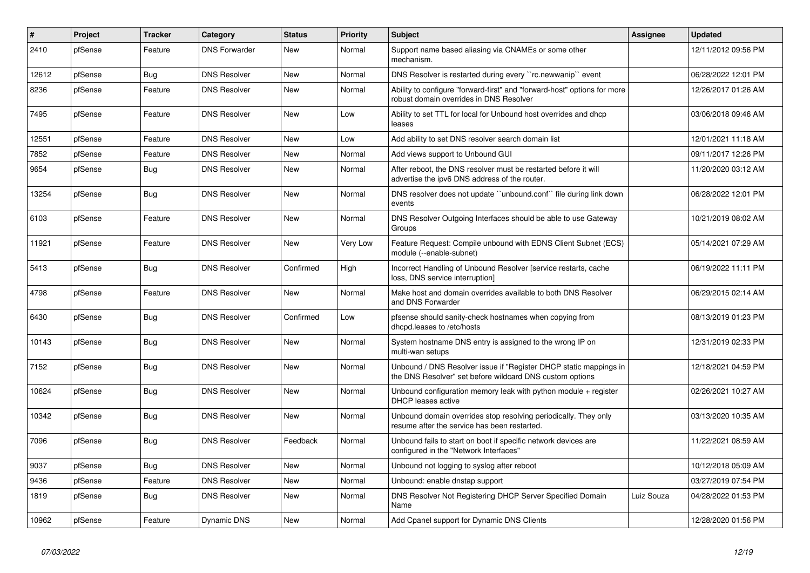| $\vert$ # | Project | <b>Tracker</b> | Category             | <b>Status</b> | Priority | <b>Subject</b>                                                                                                                | <b>Assignee</b> | <b>Updated</b>      |
|-----------|---------|----------------|----------------------|---------------|----------|-------------------------------------------------------------------------------------------------------------------------------|-----------------|---------------------|
| 2410      | pfSense | Feature        | <b>DNS Forwarder</b> | New           | Normal   | Support name based aliasing via CNAMEs or some other<br>mechanism.                                                            |                 | 12/11/2012 09:56 PM |
| 12612     | pfSense | <b>Bug</b>     | <b>DNS Resolver</b>  | New           | Normal   | DNS Resolver is restarted during every "rc.newwanip" event                                                                    |                 | 06/28/2022 12:01 PM |
| 8236      | pfSense | Feature        | <b>DNS Resolver</b>  | New           | Normal   | Ability to configure "forward-first" and "forward-host" options for more<br>robust domain overrides in DNS Resolver           |                 | 12/26/2017 01:26 AM |
| 7495      | pfSense | Feature        | <b>DNS Resolver</b>  | New           | Low      | Ability to set TTL for local for Unbound host overrides and dhcp<br>leases                                                    |                 | 03/06/2018 09:46 AM |
| 12551     | pfSense | Feature        | <b>DNS Resolver</b>  | <b>New</b>    | Low      | Add ability to set DNS resolver search domain list                                                                            |                 | 12/01/2021 11:18 AM |
| 7852      | pfSense | Feature        | <b>DNS Resolver</b>  | <b>New</b>    | Normal   | Add views support to Unbound GUI                                                                                              |                 | 09/11/2017 12:26 PM |
| 9654      | pfSense | Bug            | <b>DNS Resolver</b>  | New           | Normal   | After reboot, the DNS resolver must be restarted before it will<br>advertise the ipv6 DNS address of the router.              |                 | 11/20/2020 03:12 AM |
| 13254     | pfSense | <b>Bug</b>     | <b>DNS Resolver</b>  | New           | Normal   | DNS resolver does not update "unbound.conf" file during link down<br>events                                                   |                 | 06/28/2022 12:01 PM |
| 6103      | pfSense | Feature        | <b>DNS Resolver</b>  | New           | Normal   | DNS Resolver Outgoing Interfaces should be able to use Gateway<br>Groups                                                      |                 | 10/21/2019 08:02 AM |
| 11921     | pfSense | Feature        | <b>DNS Resolver</b>  | <b>New</b>    | Very Low | Feature Request: Compile unbound with EDNS Client Subnet (ECS)<br>module (--enable-subnet)                                    |                 | 05/14/2021 07:29 AM |
| 5413      | pfSense | <b>Bug</b>     | <b>DNS Resolver</b>  | Confirmed     | High     | Incorrect Handling of Unbound Resolver [service restarts, cache<br>loss, DNS service interruption]                            |                 | 06/19/2022 11:11 PM |
| 4798      | pfSense | Feature        | <b>DNS Resolver</b>  | New           | Normal   | Make host and domain overrides available to both DNS Resolver<br>and DNS Forwarder                                            |                 | 06/29/2015 02:14 AM |
| 6430      | pfSense | <b>Bug</b>     | <b>DNS Resolver</b>  | Confirmed     | Low      | pfsense should sanity-check hostnames when copying from<br>dhcpd.leases to /etc/hosts                                         |                 | 08/13/2019 01:23 PM |
| 10143     | pfSense | <b>Bug</b>     | <b>DNS Resolver</b>  | <b>New</b>    | Normal   | System hostname DNS entry is assigned to the wrong IP on<br>multi-wan setups                                                  |                 | 12/31/2019 02:33 PM |
| 7152      | pfSense | <b>Bug</b>     | <b>DNS Resolver</b>  | New           | Normal   | Unbound / DNS Resolver issue if "Register DHCP static mappings in<br>the DNS Resolver" set before wildcard DNS custom options |                 | 12/18/2021 04:59 PM |
| 10624     | pfSense | <b>Bug</b>     | <b>DNS Resolver</b>  | <b>New</b>    | Normal   | Unbound configuration memory leak with python module + register<br>DHCP leases active                                         |                 | 02/26/2021 10:27 AM |
| 10342     | pfSense | <b>Bug</b>     | <b>DNS Resolver</b>  | <b>New</b>    | Normal   | Unbound domain overrides stop resolving periodically. They only<br>resume after the service has been restarted.               |                 | 03/13/2020 10:35 AM |
| 7096      | pfSense | Bug            | <b>DNS Resolver</b>  | Feedback      | Normal   | Unbound fails to start on boot if specific network devices are<br>configured in the "Network Interfaces"                      |                 | 11/22/2021 08:59 AM |
| 9037      | pfSense | Bug            | <b>DNS Resolver</b>  | <b>New</b>    | Normal   | Unbound not logging to syslog after reboot                                                                                    |                 | 10/12/2018 05:09 AM |
| 9436      | pfSense | Feature        | <b>DNS Resolver</b>  | New           | Normal   | Unbound: enable dnstap support                                                                                                |                 | 03/27/2019 07:54 PM |
| 1819      | pfSense | <b>Bug</b>     | <b>DNS Resolver</b>  | New           | Normal   | DNS Resolver Not Registering DHCP Server Specified Domain<br>Name                                                             | Luiz Souza      | 04/28/2022 01:53 PM |
| 10962     | pfSense | Feature        | Dynamic DNS          | New           | Normal   | Add Cpanel support for Dynamic DNS Clients                                                                                    |                 | 12/28/2020 01:56 PM |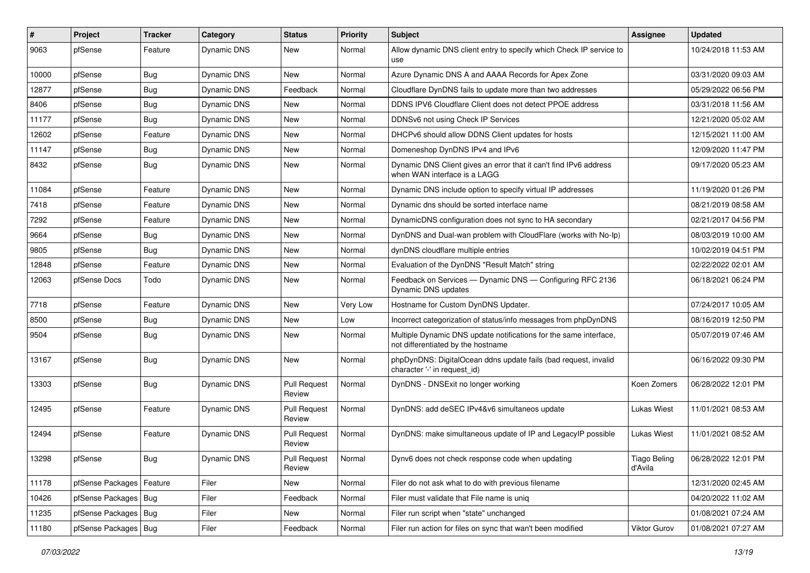| $\vert$ # | Project                    | <b>Tracker</b> | Category           | <b>Status</b>                 | <b>Priority</b> | Subject                                                                                                 | <b>Assignee</b>                | <b>Updated</b>      |
|-----------|----------------------------|----------------|--------------------|-------------------------------|-----------------|---------------------------------------------------------------------------------------------------------|--------------------------------|---------------------|
| 9063      | pfSense                    | Feature        | Dynamic DNS        | New                           | Normal          | Allow dynamic DNS client entry to specify which Check IP service to<br>use                              |                                | 10/24/2018 11:53 AM |
| 10000     | pfSense                    | Bug            | Dynamic DNS        | <b>New</b>                    | Normal          | Azure Dynamic DNS A and AAAA Records for Apex Zone                                                      |                                | 03/31/2020 09:03 AM |
| 12877     | pfSense                    | <b>Bug</b>     | Dynamic DNS        | Feedback                      | Normal          | Cloudflare DynDNS fails to update more than two addresses                                               |                                | 05/29/2022 06:56 PM |
| 8406      | pfSense                    | Bug            | Dynamic DNS        | New                           | Normal          | DDNS IPV6 Cloudflare Client does not detect PPOE address                                                |                                | 03/31/2018 11:56 AM |
| 11177     | pfSense                    | Bug            | Dynamic DNS        | New                           | Normal          | DDNSv6 not using Check IP Services                                                                      |                                | 12/21/2020 05:02 AM |
| 12602     | pfSense                    | Feature        | <b>Dynamic DNS</b> | New                           | Normal          | DHCPv6 should allow DDNS Client updates for hosts                                                       |                                | 12/15/2021 11:00 AM |
| 11147     | pfSense                    | Bug            | Dynamic DNS        | New                           | Normal          | Domeneshop DynDNS IPv4 and IPv6                                                                         |                                | 12/09/2020 11:47 PM |
| 8432      | pfSense                    | <b>Bug</b>     | Dynamic DNS        | New                           | Normal          | Dynamic DNS Client gives an error that it can't find IPv6 address<br>when WAN interface is a LAGG       |                                | 09/17/2020 05:23 AM |
| 11084     | pfSense                    | Feature        | Dynamic DNS        | New                           | Normal          | Dynamic DNS include option to specify virtual IP addresses                                              |                                | 11/19/2020 01:26 PM |
| 7418      | pfSense                    | Feature        | Dynamic DNS        | New                           | Normal          | Dynamic dns should be sorted interface name                                                             |                                | 08/21/2019 08:58 AM |
| 7292      | pfSense                    | Feature        | Dynamic DNS        | <b>New</b>                    | Normal          | DynamicDNS configuration does not sync to HA secondary                                                  |                                | 02/21/2017 04:56 PM |
| 9664      | pfSense                    | <b>Bug</b>     | Dynamic DNS        | New                           | Normal          | DynDNS and Dual-wan problem with CloudFlare (works with No-Ip)                                          |                                | 08/03/2019 10:00 AM |
| 9805      | pfSense                    | Bug            | Dynamic DNS        | New                           | Normal          | dynDNS cloudflare multiple entries                                                                      |                                | 10/02/2019 04:51 PM |
| 12848     | pfSense                    | Feature        | Dynamic DNS        | New                           | Normal          | Evaluation of the DynDNS "Result Match" string                                                          |                                | 02/22/2022 02:01 AM |
| 12063     | pfSense Docs               | Todo           | Dynamic DNS        | New                           | Normal          | Feedback on Services - Dynamic DNS - Configuring RFC 2136<br>Dynamic DNS updates                        |                                | 06/18/2021 06:24 PM |
| 7718      | pfSense                    | Feature        | Dynamic DNS        | New                           | Very Low        | Hostname for Custom DynDNS Updater.                                                                     |                                | 07/24/2017 10:05 AM |
| 8500      | pfSense                    | <b>Bug</b>     | Dynamic DNS        | <b>New</b>                    | Low             | Incorrect categorization of status/info messages from phpDynDNS                                         |                                | 08/16/2019 12:50 PM |
| 9504      | pfSense                    | <b>Bug</b>     | Dynamic DNS        | <b>New</b>                    | Normal          | Multiple Dynamic DNS update notifications for the same interface,<br>not differentiated by the hostname |                                | 05/07/2019 07:46 AM |
| 13167     | pfSense                    | Bug            | Dynamic DNS        | New                           | Normal          | phpDynDNS: DigitalOcean ddns update fails (bad request, invalid<br>character '-' in request_id)         |                                | 06/16/2022 09:30 PM |
| 13303     | pfSense                    | Bug            | Dynamic DNS        | <b>Pull Request</b><br>Review | Normal          | DynDNS - DNSExit no longer working                                                                      | Koen Zomers                    | 06/28/2022 12:01 PM |
| 12495     | pfSense                    | Feature        | Dynamic DNS        | <b>Pull Request</b><br>Review | Normal          | DynDNS: add deSEC IPv4&v6 simultaneos update                                                            | <b>Lukas Wiest</b>             | 11/01/2021 08:53 AM |
| 12494     | pfSense                    | Feature        | Dynamic DNS        | <b>Pull Request</b><br>Review | Normal          | DynDNS: make simultaneous update of IP and LegacyIP possible                                            | Lukas Wiest                    | 11/01/2021 08:52 AM |
| 13298     | pfSense                    | <b>Bug</b>     | Dynamic DNS        | Pull Request<br>Review        | Normal          | Dynv6 does not check response code when updating                                                        | <b>Tiago Beling</b><br>d'Avila | 06/28/2022 12:01 PM |
| 11178     | pfSense Packages   Feature |                | Filer              | New                           | Normal          | Filer do not ask what to do with previous filename                                                      |                                | 12/31/2020 02:45 AM |
| 10426     | pfSense Packages   Bug     |                | Filer              | Feedback                      | Normal          | Filer must validate that File name is uniq                                                              |                                | 04/20/2022 11:02 AM |
| 11235     | pfSense Packages   Bug     |                | Filer              | New                           | Normal          | Filer run script when "state" unchanged                                                                 |                                | 01/08/2021 07:24 AM |
| 11180     | pfSense Packages   Bug     |                | Filer              | Feedback                      | Normal          | Filer run action for files on sync that wan't been modified                                             | Viktor Gurov                   | 01/08/2021 07:27 AM |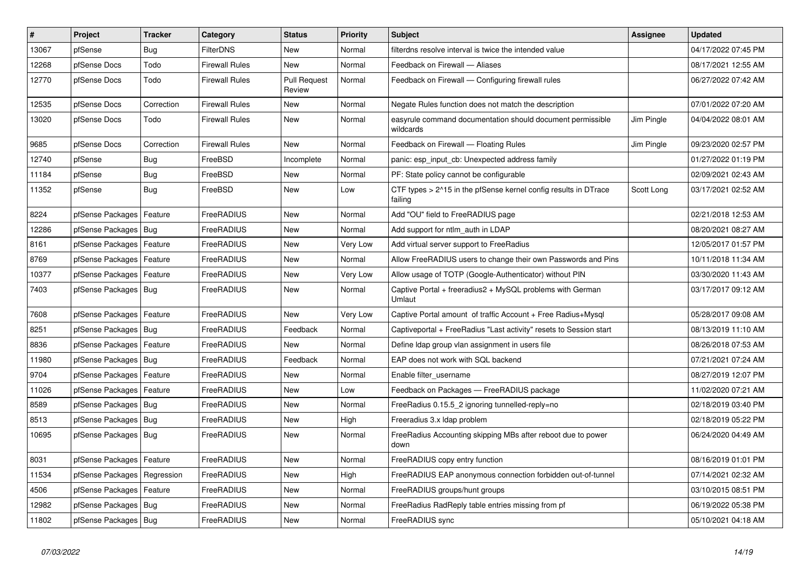| $\vert$ # | <b>Project</b>                | <b>Tracker</b> | Category              | <b>Status</b>                 | <b>Priority</b> | <b>Subject</b>                                                             | <b>Assignee</b> | <b>Updated</b>      |
|-----------|-------------------------------|----------------|-----------------------|-------------------------------|-----------------|----------------------------------------------------------------------------|-----------------|---------------------|
| 13067     | pfSense                       | Bug            | <b>FilterDNS</b>      | <b>New</b>                    | Normal          | filterdns resolve interval is twice the intended value                     |                 | 04/17/2022 07:45 PM |
| 12268     | pfSense Docs                  | Todo           | <b>Firewall Rules</b> | <b>New</b>                    | Normal          | Feedback on Firewall - Aliases                                             |                 | 08/17/2021 12:55 AM |
| 12770     | pfSense Docs                  | Todo           | Firewall Rules        | <b>Pull Request</b><br>Review | Normal          | Feedback on Firewall - Configuring firewall rules                          |                 | 06/27/2022 07:42 AM |
| 12535     | pfSense Docs                  | Correction     | Firewall Rules        | New                           | Normal          | Negate Rules function does not match the description                       |                 | 07/01/2022 07:20 AM |
| 13020     | pfSense Docs                  | Todo           | Firewall Rules        | <b>New</b>                    | Normal          | easyrule command documentation should document permissible<br>wildcards    | Jim Pingle      | 04/04/2022 08:01 AM |
| 9685      | pfSense Docs                  | Correction     | <b>Firewall Rules</b> | <b>New</b>                    | Normal          | Feedback on Firewall - Floating Rules                                      | Jim Pingle      | 09/23/2020 02:57 PM |
| 12740     | pfSense                       | <b>Bug</b>     | FreeBSD               | Incomplete                    | Normal          | panic: esp input cb: Unexpected address family                             |                 | 01/27/2022 01:19 PM |
| 11184     | pfSense                       | <b>Bug</b>     | FreeBSD               | New                           | Normal          | PF: State policy cannot be configurable                                    |                 | 02/09/2021 02:43 AM |
| 11352     | pfSense                       | <b>Bug</b>     | FreeBSD               | <b>New</b>                    | Low             | CTF types > 2^15 in the pfSense kernel config results in DTrace<br>failing | Scott Long      | 03/17/2021 02:52 AM |
| 8224      | pfSense Packages              | Feature        | FreeRADIUS            | <b>New</b>                    | Normal          | Add "OU" field to FreeRADIUS page                                          |                 | 02/21/2018 12:53 AM |
| 12286     | pfSense Packages   Bug        |                | FreeRADIUS            | <b>New</b>                    | Normal          | Add support for ntlm_auth in LDAP                                          |                 | 08/20/2021 08:27 AM |
| 8161      | pfSense Packages   Feature    |                | FreeRADIUS            | New                           | Very Low        | Add virtual server support to FreeRadius                                   |                 | 12/05/2017 01:57 PM |
| 8769      | pfSense Packages   Feature    |                | FreeRADIUS            | New                           | Normal          | Allow FreeRADIUS users to change their own Passwords and Pins              |                 | 10/11/2018 11:34 AM |
| 10377     | pfSense Packages   Feature    |                | FreeRADIUS            | <b>New</b>                    | Very Low        | Allow usage of TOTP (Google-Authenticator) without PIN                     |                 | 03/30/2020 11:43 AM |
| 7403      | pfSense Packages   Bug        |                | FreeRADIUS            | New                           | Normal          | Captive Portal + freeradius2 + MySQL problems with German<br>Umlaut        |                 | 03/17/2017 09:12 AM |
| 7608      | pfSense Packages   Feature    |                | FreeRADIUS            | <b>New</b>                    | Very Low        | Captive Portal amount of traffic Account + Free Radius+Mysql               |                 | 05/28/2017 09:08 AM |
| 8251      | pfSense Packages   Bug        |                | FreeRADIUS            | Feedback                      | Normal          | Captiveportal + FreeRadius "Last activity" resets to Session start         |                 | 08/13/2019 11:10 AM |
| 8836      | pfSense Packages              | Feature        | FreeRADIUS            | <b>New</b>                    | Normal          | Define Idap group vlan assignment in users file                            |                 | 08/26/2018 07:53 AM |
| 11980     | pfSense Packages   Bug        |                | FreeRADIUS            | Feedback                      | Normal          | EAP does not work with SQL backend                                         |                 | 07/21/2021 07:24 AM |
| 9704      | pfSense Packages              | Feature        | FreeRADIUS            | <b>New</b>                    | Normal          | Enable filter username                                                     |                 | 08/27/2019 12:07 PM |
| 11026     | pfSense Packages   Feature    |                | FreeRADIUS            | <b>New</b>                    | Low             | Feedback on Packages - FreeRADIUS package                                  |                 | 11/02/2020 07:21 AM |
| 8589      | pfSense Packages   Bug        |                | FreeRADIUS            | New                           | Normal          | FreeRadius 0.15.5 2 ignoring tunnelled-reply=no                            |                 | 02/18/2019 03:40 PM |
| 8513      | pfSense Packages   Bug        |                | FreeRADIUS            | New                           | High            | Freeradius 3.x Idap problem                                                |                 | 02/18/2019 05:22 PM |
| 10695     | pfSense Packages   Bug        |                | FreeRADIUS            | New                           | Normal          | FreeRadius Accounting skipping MBs after reboot due to power<br>down       |                 | 06/24/2020 04:49 AM |
| 8031      | pfSense Packages   Feature    |                | FreeRADIUS            | <b>New</b>                    | Normal          | FreeRADIUS copy entry function                                             |                 | 08/16/2019 01:01 PM |
| 11534     | pfSense Packages   Regression |                | FreeRADIUS            | <b>New</b>                    | High            | FreeRADIUS EAP anonymous connection forbidden out-of-tunnel                |                 | 07/14/2021 02:32 AM |
| 4506      | pfSense Packages   Feature    |                | FreeRADIUS            | New                           | Normal          | FreeRADIUS groups/hunt groups                                              |                 | 03/10/2015 08:51 PM |
| 12982     | pfSense Packages   Bug        |                | FreeRADIUS            | <b>New</b>                    | Normal          | FreeRadius RadReply table entries missing from pf                          |                 | 06/19/2022 05:38 PM |
| 11802     | pfSense Packages   Bug        |                | FreeRADIUS            | New                           | Normal          | FreeRADIUS sync                                                            |                 | 05/10/2021 04:18 AM |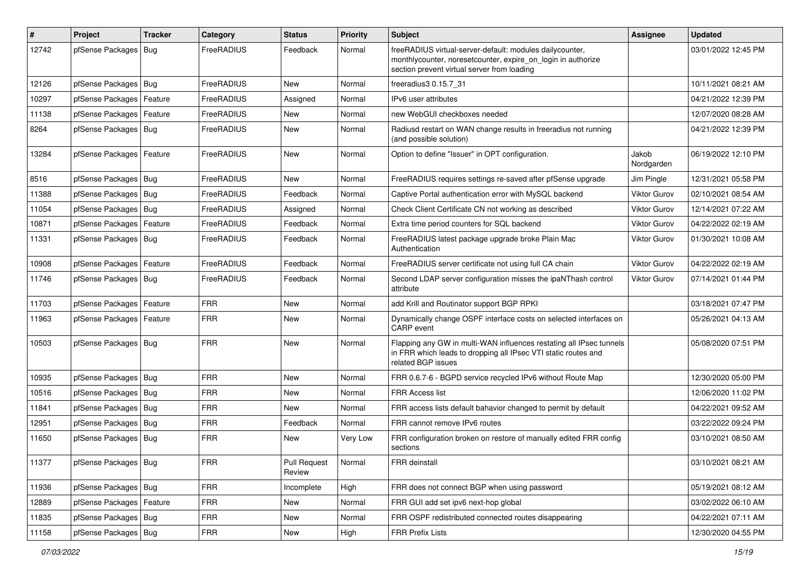| #     | Project                    | <b>Tracker</b> | Category          | <b>Status</b>                 | <b>Priority</b> | <b>Subject</b>                                                                                                                                                          | <b>Assignee</b>     | <b>Updated</b>      |
|-------|----------------------------|----------------|-------------------|-------------------------------|-----------------|-------------------------------------------------------------------------------------------------------------------------------------------------------------------------|---------------------|---------------------|
| 12742 | pfSense Packages   Bug     |                | FreeRADIUS        | Feedback                      | Normal          | freeRADIUS virtual-server-default: modules dailycounter,<br>monthlycounter, noresetcounter, expire_on_login in authorize<br>section prevent virtual server from loading |                     | 03/01/2022 12:45 PM |
| 12126 | pfSense Packages   Bug     |                | FreeRADIUS        | <b>New</b>                    | Normal          | freeradius3 0.15.7 31                                                                                                                                                   |                     | 10/11/2021 08:21 AM |
| 10297 | pfSense Packages   Feature |                | FreeRADIUS        | Assigned                      | Normal          | IPv6 user attributes                                                                                                                                                    |                     | 04/21/2022 12:39 PM |
| 11138 | pfSense Packages   Feature |                | FreeRADIUS        | New                           | Normal          | new WebGUI checkboxes needed                                                                                                                                            |                     | 12/07/2020 08:28 AM |
| 8264  | pfSense Packages   Bug     |                | FreeRADIUS        | New                           | Normal          | Radiusd restart on WAN change results in freeradius not running<br>(and possible solution)                                                                              |                     | 04/21/2022 12:39 PM |
| 13284 | pfSense Packages   Feature |                | FreeRADIUS        | New                           | Normal          | Option to define "Issuer" in OPT configuration.                                                                                                                         | Jakob<br>Nordgarden | 06/19/2022 12:10 PM |
| 8516  | pfSense Packages   Bug     |                | <b>FreeRADIUS</b> | <b>New</b>                    | Normal          | FreeRADIUS requires settings re-saved after pfSense upgrade                                                                                                             | Jim Pingle          | 12/31/2021 05:58 PM |
| 11388 | pfSense Packages   Bug     |                | FreeRADIUS        | Feedback                      | Normal          | Captive Portal authentication error with MySQL backend                                                                                                                  | <b>Viktor Gurov</b> | 02/10/2021 08:54 AM |
| 11054 | pfSense Packages   Bug     |                | FreeRADIUS        | Assigned                      | Normal          | Check Client Certificate CN not working as described                                                                                                                    | <b>Viktor Gurov</b> | 12/14/2021 07:22 AM |
| 10871 | pfSense Packages   Feature |                | FreeRADIUS        | Feedback                      | Normal          | Extra time period counters for SQL backend                                                                                                                              | <b>Viktor Gurov</b> | 04/22/2022 02:19 AM |
| 11331 | pfSense Packages   Bug     |                | FreeRADIUS        | Feedback                      | Normal          | FreeRADIUS latest package upgrade broke Plain Mac<br>Authentication                                                                                                     | <b>Viktor Gurov</b> | 01/30/2021 10:08 AM |
| 10908 | pfSense Packages   Feature |                | FreeRADIUS        | Feedback                      | Normal          | FreeRADIUS server certificate not using full CA chain                                                                                                                   | <b>Viktor Gurov</b> | 04/22/2022 02:19 AM |
| 11746 | pfSense Packages   Bug     |                | FreeRADIUS        | Feedback                      | Normal          | Second LDAP server configuration misses the ipaNThash control<br>attribute                                                                                              | <b>Viktor Gurov</b> | 07/14/2021 01:44 PM |
| 11703 | pfSense Packages   Feature |                | <b>FRR</b>        | New                           | Normal          | add Krill and Routinator support BGP RPKI                                                                                                                               |                     | 03/18/2021 07:47 PM |
| 11963 | pfSense Packages   Feature |                | <b>FRR</b>        | New                           | Normal          | Dynamically change OSPF interface costs on selected interfaces on<br>CARP event                                                                                         |                     | 05/26/2021 04:13 AM |
| 10503 | pfSense Packages   Bug     |                | <b>FRR</b>        | <b>New</b>                    | Normal          | Flapping any GW in multi-WAN influences restating all IPsec tunnels<br>in FRR which leads to dropping all IPsec VTI static routes and<br>related BGP issues             |                     | 05/08/2020 07:51 PM |
| 10935 | pfSense Packages   Bug     |                | <b>FRR</b>        | New                           | Normal          | FRR 0.6.7-6 - BGPD service recycled IPv6 without Route Map                                                                                                              |                     | 12/30/2020 05:00 PM |
| 10516 | pfSense Packages   Bug     |                | <b>FRR</b>        | New                           | Normal          | <b>FRR Access list</b>                                                                                                                                                  |                     | 12/06/2020 11:02 PM |
| 11841 | pfSense Packages   Bug     |                | <b>FRR</b>        | New                           | Normal          | FRR access lists default bahavior changed to permit by default                                                                                                          |                     | 04/22/2021 09:52 AM |
| 12951 | pfSense Packages   Bug     |                | <b>FRR</b>        | Feedback                      | Normal          | FRR cannot remove IPv6 routes                                                                                                                                           |                     | 03/22/2022 09:24 PM |
| 11650 | pfSense Packages   Bug     |                | <b>FRR</b>        | New                           | Very Low        | FRR configuration broken on restore of manually edited FRR config<br>sections                                                                                           |                     | 03/10/2021 08:50 AM |
| 11377 | pfSense Packages   Bug     |                | <b>FRR</b>        | <b>Pull Request</b><br>Review | Normal          | FRR deinstall                                                                                                                                                           |                     | 03/10/2021 08:21 AM |
| 11936 | pfSense Packages   Bug     |                | <b>FRR</b>        | Incomplete                    | High            | FRR does not connect BGP when using password                                                                                                                            |                     | 05/19/2021 08:12 AM |
| 12889 | pfSense Packages   Feature |                | <b>FRR</b>        | New                           | Normal          | FRR GUI add set ipv6 next-hop global                                                                                                                                    |                     | 03/02/2022 06:10 AM |
| 11835 | pfSense Packages   Bug     |                | <b>FRR</b>        | New                           | Normal          | FRR OSPF redistributed connected routes disappearing                                                                                                                    |                     | 04/22/2021 07:11 AM |
| 11158 | pfSense Packages   Bug     |                | <b>FRR</b>        | New                           | High            | <b>FRR Prefix Lists</b>                                                                                                                                                 |                     | 12/30/2020 04:55 PM |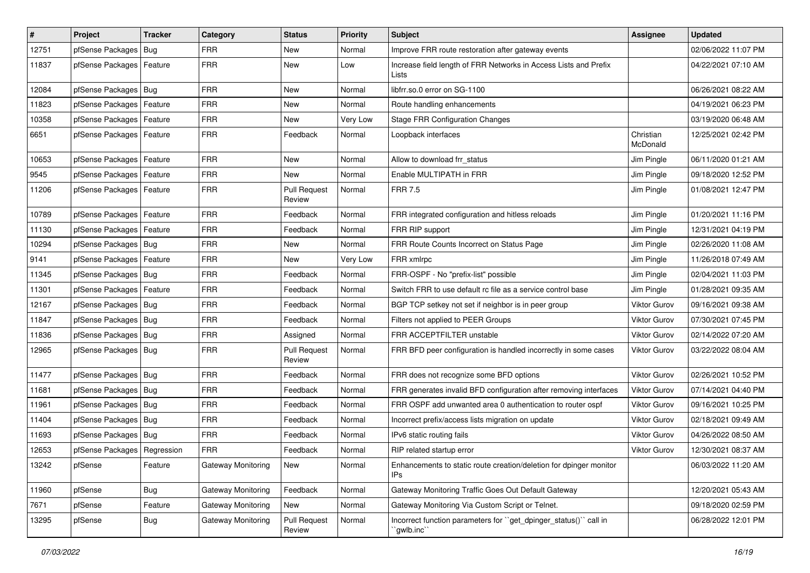| $\vert$ # | Project                       | <b>Tracker</b> | Category           | <b>Status</b>                 | <b>Priority</b> | <b>Subject</b>                                                                  | Assignee              | <b>Updated</b>      |
|-----------|-------------------------------|----------------|--------------------|-------------------------------|-----------------|---------------------------------------------------------------------------------|-----------------------|---------------------|
| 12751     | pfSense Packages              | Bug            | <b>FRR</b>         | New                           | Normal          | Improve FRR route restoration after gateway events                              |                       | 02/06/2022 11:07 PM |
| 11837     | pfSense Packages   Feature    |                | <b>FRR</b>         | New                           | Low             | Increase field length of FRR Networks in Access Lists and Prefix<br>Lists       |                       | 04/22/2021 07:10 AM |
| 12084     | pfSense Packages   Bug        |                | <b>FRR</b>         | <b>New</b>                    | Normal          | libfrr.so.0 error on SG-1100                                                    |                       | 06/26/2021 08:22 AM |
| 11823     | pfSense Packages              | Feature        | <b>FRR</b>         | New                           | Normal          | Route handling enhancements                                                     |                       | 04/19/2021 06:23 PM |
| 10358     | pfSense Packages              | Feature        | <b>FRR</b>         | New                           | Very Low        | <b>Stage FRR Configuration Changes</b>                                          |                       | 03/19/2020 06:48 AM |
| 6651      | pfSense Packages   Feature    |                | <b>FRR</b>         | Feedback                      | Normal          | Loopback interfaces                                                             | Christian<br>McDonald | 12/25/2021 02:42 PM |
| 10653     | pfSense Packages              | Feature        | <b>FRR</b>         | New                           | Normal          | Allow to download frr status                                                    | Jim Pingle            | 06/11/2020 01:21 AM |
| 9545      | pfSense Packages              | Feature        | <b>FRR</b>         | <b>New</b>                    | Normal          | Enable MULTIPATH in FRR                                                         | Jim Pingle            | 09/18/2020 12:52 PM |
| 11206     | pfSense Packages              | Feature        | <b>FRR</b>         | <b>Pull Request</b><br>Review | Normal          | <b>FRR 7.5</b>                                                                  | Jim Pingle            | 01/08/2021 12:47 PM |
| 10789     | pfSense Packages              | Feature        | <b>FRR</b>         | Feedback                      | Normal          | FRR integrated configuration and hitless reloads                                | Jim Pingle            | 01/20/2021 11:16 PM |
| 11130     | pfSense Packages              | Feature        | <b>FRR</b>         | Feedback                      | Normal          | FRR RIP support                                                                 | Jim Pingle            | 12/31/2021 04:19 PM |
| 10294     | pfSense Packages   Bug        |                | <b>FRR</b>         | New                           | Normal          | FRR Route Counts Incorrect on Status Page                                       | Jim Pingle            | 02/26/2020 11:08 AM |
| 9141      | pfSense Packages              | Feature        | <b>FRR</b>         | New                           | Very Low        | FRR xmlrpc                                                                      | Jim Pingle            | 11/26/2018 07:49 AM |
| 11345     | pfSense Packages              | Bug            | <b>FRR</b>         | Feedback                      | Normal          | FRR-OSPF - No "prefix-list" possible                                            | Jim Pingle            | 02/04/2021 11:03 PM |
| 11301     | pfSense Packages              | Feature        | <b>FRR</b>         | Feedback                      | Normal          | Switch FRR to use default rc file as a service control base                     | Jim Pingle            | 01/28/2021 09:35 AM |
| 12167     | pfSense Packages              | Bug            | <b>FRR</b>         | Feedback                      | Normal          | BGP TCP setkey not set if neighbor is in peer group                             | Viktor Gurov          | 09/16/2021 09:38 AM |
| 11847     | pfSense Packages   Bug        |                | <b>FRR</b>         | Feedback                      | Normal          | Filters not applied to PEER Groups                                              | Viktor Gurov          | 07/30/2021 07:45 PM |
| 11836     | pfSense Packages              | Bug            | <b>FRR</b>         | Assigned                      | Normal          | FRR ACCEPTFILTER unstable                                                       | Viktor Gurov          | 02/14/2022 07:20 AM |
| 12965     | pfSense Packages              | Bug            | <b>FRR</b>         | <b>Pull Request</b><br>Review | Normal          | FRR BFD peer configuration is handled incorrectly in some cases                 | <b>Viktor Gurov</b>   | 03/22/2022 08:04 AM |
| 11477     | pfSense Packages              | Bug            | <b>FRR</b>         | Feedback                      | Normal          | FRR does not recognize some BFD options                                         | Viktor Gurov          | 02/26/2021 10:52 PM |
| 11681     | pfSense Packages              | Bug            | <b>FRR</b>         | Feedback                      | Normal          | FRR generates invalid BFD configuration after removing interfaces               | Viktor Gurov          | 07/14/2021 04:40 PM |
| 11961     | pfSense Packages              | Bug            | <b>FRR</b>         | Feedback                      | Normal          | FRR OSPF add unwanted area 0 authentication to router ospf                      | <b>Viktor Gurov</b>   | 09/16/2021 10:25 PM |
| 11404     | pfSense Packages              | Bug            | <b>FRR</b>         | Feedback                      | Normal          | Incorrect prefix/access lists migration on update                               | <b>Viktor Gurov</b>   | 02/18/2021 09:49 AM |
| 11693     | pfSense Packages   Bug        |                | <b>FRR</b>         | Feedback                      | Normal          | IPv6 static routing fails                                                       | Viktor Gurov          | 04/26/2022 08:50 AM |
| 12653     | pfSense Packages   Regression |                | <b>FRR</b>         | Feedback                      | Normal          | RIP related startup error                                                       | <b>Viktor Gurov</b>   | 12/30/2021 08:37 AM |
| 13242     | pfSense                       | Feature        | Gateway Monitoring | New                           | Normal          | Enhancements to static route creation/deletion for dpinger monitor<br>IPs       |                       | 06/03/2022 11:20 AM |
| 11960     | pfSense                       | Bug            | Gateway Monitoring | Feedback                      | Normal          | Gateway Monitoring Traffic Goes Out Default Gateway                             |                       | 12/20/2021 05:43 AM |
| 7671      | pfSense                       | Feature        | Gateway Monitoring | New                           | Normal          | Gateway Monitoring Via Custom Script or Telnet.                                 |                       | 09/18/2020 02:59 PM |
| 13295     | pfSense                       | Bug            | Gateway Monitoring | Pull Request<br>Review        | Normal          | Incorrect function parameters for "get dpinger status()" call in<br>`gwlb.inc`` |                       | 06/28/2022 12:01 PM |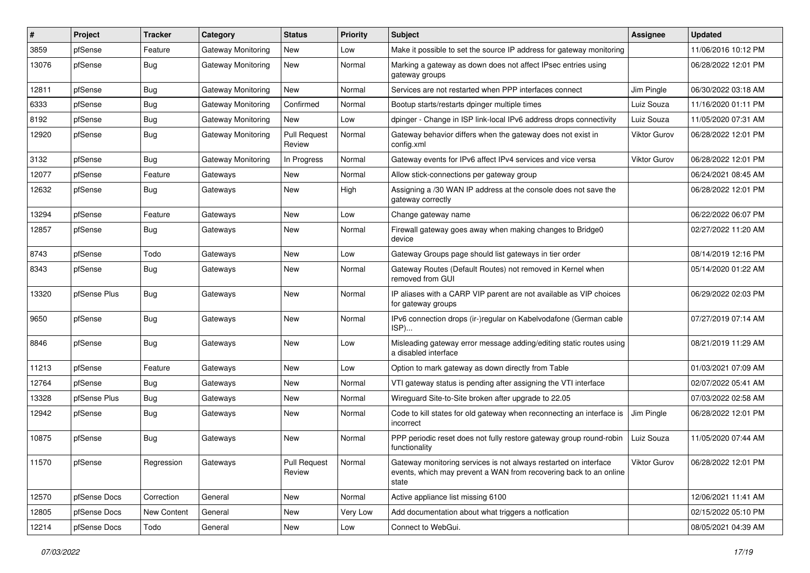| #     | Project      | <b>Tracker</b> | Category                  | <b>Status</b>                 | <b>Priority</b> | Subject                                                                                                                                        | Assignee            | <b>Updated</b>      |
|-------|--------------|----------------|---------------------------|-------------------------------|-----------------|------------------------------------------------------------------------------------------------------------------------------------------------|---------------------|---------------------|
| 3859  | pfSense      | Feature        | Gateway Monitoring        | New                           | Low             | Make it possible to set the source IP address for gateway monitoring                                                                           |                     | 11/06/2016 10:12 PM |
| 13076 | pfSense      | <b>Bug</b>     | Gateway Monitoring        | New                           | Normal          | Marking a gateway as down does not affect IPsec entries using<br>gateway groups                                                                |                     | 06/28/2022 12:01 PM |
| 12811 | pfSense      | Bug            | Gateway Monitoring        | <b>New</b>                    | Normal          | Services are not restarted when PPP interfaces connect                                                                                         | Jim Pingle          | 06/30/2022 03:18 AM |
| 6333  | pfSense      | Bug            | <b>Gateway Monitoring</b> | Confirmed                     | Normal          | Bootup starts/restarts dpinger multiple times                                                                                                  | Luiz Souza          | 11/16/2020 01:11 PM |
| 8192  | pfSense      | <b>Bug</b>     | Gateway Monitoring        | New                           | Low             | dpinger - Change in ISP link-local IPv6 address drops connectivity                                                                             | Luiz Souza          | 11/05/2020 07:31 AM |
| 12920 | pfSense      | Bug            | Gateway Monitoring        | <b>Pull Request</b><br>Review | Normal          | Gateway behavior differs when the gateway does not exist in<br>config.xml                                                                      | Viktor Gurov        | 06/28/2022 12:01 PM |
| 3132  | pfSense      | Bug            | <b>Gateway Monitoring</b> | In Progress                   | Normal          | Gateway events for IPv6 affect IPv4 services and vice versa                                                                                    | <b>Viktor Gurov</b> | 06/28/2022 12:01 PM |
| 12077 | pfSense      | Feature        | Gateways                  | New                           | Normal          | Allow stick-connections per gateway group                                                                                                      |                     | 06/24/2021 08:45 AM |
| 12632 | pfSense      | Bug            | Gateways                  | New                           | High            | Assigning a /30 WAN IP address at the console does not save the<br>gateway correctly                                                           |                     | 06/28/2022 12:01 PM |
| 13294 | pfSense      | Feature        | Gateways                  | New                           | Low             | Change gateway name                                                                                                                            |                     | 06/22/2022 06:07 PM |
| 12857 | pfSense      | <b>Bug</b>     | Gateways                  | New                           | Normal          | Firewall gateway goes away when making changes to Bridge0<br>device                                                                            |                     | 02/27/2022 11:20 AM |
| 8743  | pfSense      | Todo           | Gateways                  | New                           | Low             | Gateway Groups page should list gateways in tier order                                                                                         |                     | 08/14/2019 12:16 PM |
| 8343  | pfSense      | <b>Bug</b>     | Gateways                  | New                           | Normal          | Gateway Routes (Default Routes) not removed in Kernel when<br>removed from GUI                                                                 |                     | 05/14/2020 01:22 AM |
| 13320 | pfSense Plus | <b>Bug</b>     | Gateways                  | New                           | Normal          | IP aliases with a CARP VIP parent are not available as VIP choices<br>for gateway groups                                                       |                     | 06/29/2022 02:03 PM |
| 9650  | pfSense      | <b>Bug</b>     | Gateways                  | New                           | Normal          | IPv6 connection drops (ir-)regular on Kabelvodafone (German cable<br>ISP)                                                                      |                     | 07/27/2019 07:14 AM |
| 8846  | pfSense      | Bug            | Gateways                  | New                           | Low             | Misleading gateway error message adding/editing static routes using<br>a disabled interface                                                    |                     | 08/21/2019 11:29 AM |
| 11213 | pfSense      | Feature        | Gateways                  | New                           | Low             | Option to mark gateway as down directly from Table                                                                                             |                     | 01/03/2021 07:09 AM |
| 12764 | pfSense      | Bug            | Gateways                  | New                           | Normal          | VTI gateway status is pending after assigning the VTI interface                                                                                |                     | 02/07/2022 05:41 AM |
| 13328 | pfSense Plus | <b>Bug</b>     | Gateways                  | New                           | Normal          | Wireguard Site-to-Site broken after upgrade to 22.05                                                                                           |                     | 07/03/2022 02:58 AM |
| 12942 | pfSense      | <b>Bug</b>     | Gateways                  | New                           | Normal          | Code to kill states for old gateway when reconnecting an interface is<br>incorrect                                                             | Jim Pingle          | 06/28/2022 12:01 PM |
| 10875 | pfSense      | <b>Bug</b>     | Gateways                  | New                           | Normal          | PPP periodic reset does not fully restore gateway group round-robin<br>functionality                                                           | Luiz Souza          | 11/05/2020 07:44 AM |
| 11570 | pfSense      | Regression     | Gateways                  | <b>Pull Request</b><br>Review | Normal          | Gateway monitoring services is not always restarted on interface<br>events, which may prevent a WAN from recovering back to an online<br>state | Viktor Gurov        | 06/28/2022 12:01 PM |
| 12570 | pfSense Docs | Correction     | General                   | New                           | Normal          | Active appliance list missing 6100                                                                                                             |                     | 12/06/2021 11:41 AM |
| 12805 | pfSense Docs | New Content    | General                   | New                           | Very Low        | Add documentation about what triggers a notfication                                                                                            |                     | 02/15/2022 05:10 PM |
| 12214 | pfSense Docs | Todo           | General                   | New                           | Low             | Connect to WebGui.                                                                                                                             |                     | 08/05/2021 04:39 AM |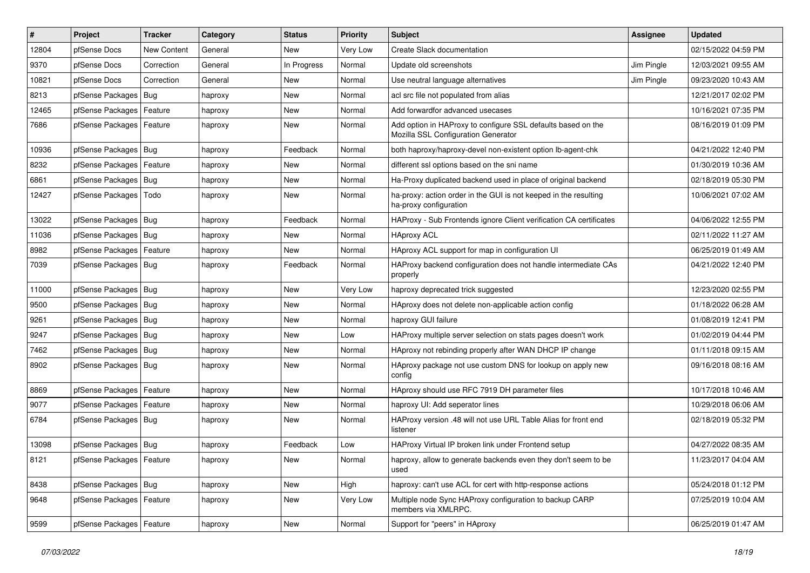| $\vert$ # | Project                    | <b>Tracker</b>     | Category | <b>Status</b> | <b>Priority</b> | Subject                                                                                             | <b>Assignee</b> | <b>Updated</b>      |
|-----------|----------------------------|--------------------|----------|---------------|-----------------|-----------------------------------------------------------------------------------------------------|-----------------|---------------------|
| 12804     | pfSense Docs               | <b>New Content</b> | General  | New           | Very Low        | Create Slack documentation                                                                          |                 | 02/15/2022 04:59 PM |
| 9370      | pfSense Docs               | Correction         | General  | In Progress   | Normal          | Update old screenshots                                                                              | Jim Pingle      | 12/03/2021 09:55 AM |
| 10821     | pfSense Docs               | Correction         | General  | New           | Normal          | Use neutral language alternatives                                                                   | Jim Pingle      | 09/23/2020 10:43 AM |
| 8213      | pfSense Packages           | $ $ Bug            | haproxy  | New           | Normal          | acl src file not populated from alias                                                               |                 | 12/21/2017 02:02 PM |
| 12465     | pfSense Packages           | Feature            | haproxy  | New           | Normal          | Add forwardfor advanced usecases                                                                    |                 | 10/16/2021 07:35 PM |
| 7686      | pfSense Packages           | Feature            | haproxy  | New           | Normal          | Add option in HAProxy to configure SSL defaults based on the<br>Mozilla SSL Configuration Generator |                 | 08/16/2019 01:09 PM |
| 10936     | pfSense Packages           | Bug                | haproxy  | Feedback      | Normal          | both haproxy/haproxy-devel non-existent option lb-agent-chk                                         |                 | 04/21/2022 12:40 PM |
| 8232      | pfSense Packages           | Feature            | haproxy  | New           | Normal          | different ssl options based on the sni name                                                         |                 | 01/30/2019 10:36 AM |
| 6861      | pfSense Packages           | Bug                | haproxy  | <b>New</b>    | Normal          | Ha-Proxy duplicated backend used in place of original backend                                       |                 | 02/18/2019 05:30 PM |
| 12427     | pfSense Packages           | Todo               | haproxy  | New           | Normal          | ha-proxy: action order in the GUI is not keeped in the resulting<br>ha-proxy configuration          |                 | 10/06/2021 07:02 AM |
| 13022     | pfSense Packages           | Bug                | haproxy  | Feedback      | Normal          | HAProxy - Sub Frontends ignore Client verification CA certificates                                  |                 | 04/06/2022 12:55 PM |
| 11036     | pfSense Packages           | Bug                | haproxy  | <b>New</b>    | Normal          | <b>HAproxy ACL</b>                                                                                  |                 | 02/11/2022 11:27 AM |
| 8982      | pfSense Packages           | Feature            | haproxy  | New           | Normal          | HAproxy ACL support for map in configuration UI                                                     |                 | 06/25/2019 01:49 AM |
| 7039      | pfSense Packages           | Bug                | haproxy  | Feedback      | Normal          | HAProxy backend configuration does not handle intermediate CAs<br>properly                          |                 | 04/21/2022 12:40 PM |
| 11000     | pfSense Packages           | <b>Bug</b>         | haproxy  | <b>New</b>    | Very Low        | haproxy deprecated trick suggested                                                                  |                 | 12/23/2020 02:55 PM |
| 9500      | pfSense Packages           | Bug                | haproxy  | New           | Normal          | HAproxy does not delete non-applicable action config                                                |                 | 01/18/2022 06:28 AM |
| 9261      | pfSense Packages           | Bug                | haproxy  | <b>New</b>    | Normal          | haproxy GUI failure                                                                                 |                 | 01/08/2019 12:41 PM |
| 9247      | pfSense Packages           | Bug                | haproxy  | New           | Low             | HAProxy multiple server selection on stats pages doesn't work                                       |                 | 01/02/2019 04:44 PM |
| 7462      | pfSense Packages           | Bug                | haproxy  | New           | Normal          | HAproxy not rebinding properly after WAN DHCP IP change                                             |                 | 01/11/2018 09:15 AM |
| 8902      | pfSense Packages   Bug     |                    | haproxy  | New           | Normal          | HAproxy package not use custom DNS for lookup on apply new<br>config                                |                 | 09/16/2018 08:16 AM |
| 8869      | pfSense Packages           | Feature            | haproxy  | New           | Normal          | HAproxy should use RFC 7919 DH parameter files                                                      |                 | 10/17/2018 10:46 AM |
| 9077      | pfSense Packages           | Feature            | haproxy  | New           | Normal          | haproxy UI: Add seperator lines                                                                     |                 | 10/29/2018 06:06 AM |
| 6784      | pfSense Packages           | Bug                | haproxy  | New           | Normal          | HAProxy version .48 will not use URL Table Alias for front end<br>listener                          |                 | 02/18/2019 05:32 PM |
| 13098     | pfSense Packages           | Bug                | haproxy  | Feedback      | Low             | HAProxy Virtual IP broken link under Frontend setup                                                 |                 | 04/27/2022 08:35 AM |
| 8121      | pfSense Packages   Feature |                    | haproxy  | New           | Normal          | haproxy, allow to generate backends even they don't seem to be<br>used                              |                 | 11/23/2017 04:04 AM |
| 8438      | pfSense Packages   Bug     |                    | haproxy  | New           | High            | haproxy: can't use ACL for cert with http-response actions                                          |                 | 05/24/2018 01:12 PM |
| 9648      | pfSense Packages           | Feature            | haproxy  | New           | Very Low        | Multiple node Sync HAProxy configuration to backup CARP<br>members via XMLRPC.                      |                 | 07/25/2019 10:04 AM |
| 9599      | pfSense Packages   Feature |                    | haproxy  | New           | Normal          | Support for "peers" in HAproxy                                                                      |                 | 06/25/2019 01:47 AM |